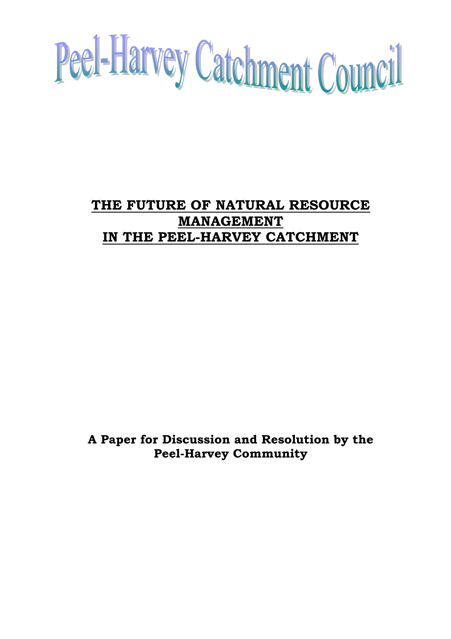

# **THE FUTURE OF NATURAL RESOURCE MANAGEMENT IN THE PEEL-HARVEY CATCHMENT**

**A Paper for Discussion and Resolution by the Peel-Harvey Community**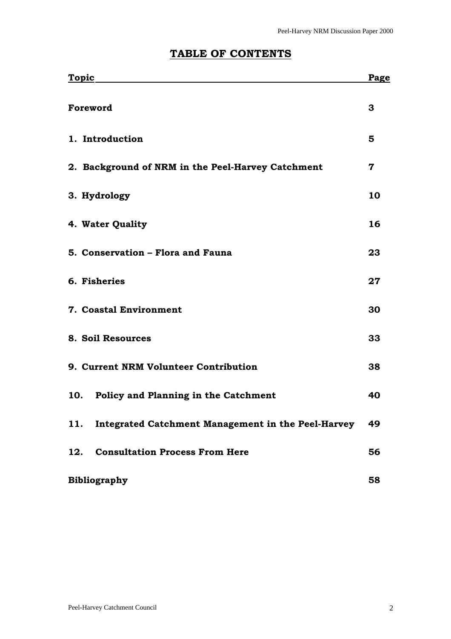| <b>Topic</b>                                              | Page |
|-----------------------------------------------------------|------|
| Foreword                                                  | 3    |
| 1. Introduction                                           | 5    |
| 2. Background of NRM in the Peel-Harvey Catchment         | 7    |
| 3. Hydrology                                              | 10   |
| 4. Water Quality                                          | 16   |
| 5. Conservation - Flora and Fauna                         | 23   |
| 6. Fisheries                                              | 27   |
| 7. Coastal Environment                                    | 30   |
| 8. Soil Resources                                         | 33   |
| 9. Current NRM Volunteer Contribution                     | 38   |
| Policy and Planning in the Catchment<br>10.               | 40   |
| Integrated Catchment Management in the Peel-Harvey<br>11. | 49   |
| <b>Consultation Process From Here</b><br>12.              | 56   |

# **TABLE OF CONTENTS**

| <b>Bibliography</b> | 58 |
|---------------------|----|
|                     |    |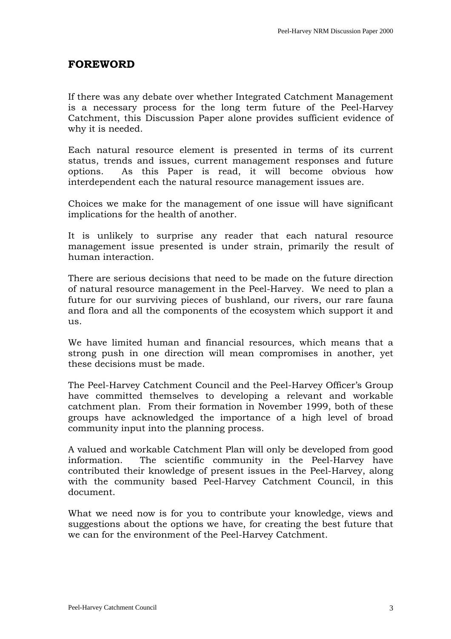# <span id="page-2-0"></span>**FOREWORD**

If there was any debate over whether Integrated Catchment Management is a necessary process for the long term future of the Peel-Harvey Catchment, this Discussion Paper alone provides sufficient evidence of why it is needed.

Each natural resource element is presented in terms of its current status, trends and issues, current management responses and future options. As this Paper is read, it will become obvious how interdependent each the natural resource management issues are.

Choices we make for the management of one issue will have significant implications for the health of another.

It is unlikely to surprise any reader that each natural resource management issue presented is under strain, primarily the result of human interaction.

There are serious decisions that need to be made on the future direction of natural resource management in the Peel-Harvey. We need to plan a future for our surviving pieces of bushland, our rivers, our rare fauna and flora and all the components of the ecosystem which support it and us.

We have limited human and financial resources, which means that a strong push in one direction will mean compromises in another, yet these decisions must be made.

The Peel-Harvey Catchment Council and the Peel-Harvey Officer's Group have committed themselves to developing a relevant and workable catchment plan. From their formation in November 1999, both of these groups have acknowledged the importance of a high level of broad community input into the planning process.

A valued and workable Catchment Plan will only be developed from good information. The scientific community in the Peel-Harvey have contributed their knowledge of present issues in the Peel-Harvey, along with the community based Peel-Harvey Catchment Council, in this document.

What we need now is for you to contribute your knowledge, views and suggestions about the options we have, for creating the best future that we can for the environment of the Peel-Harvey Catchment.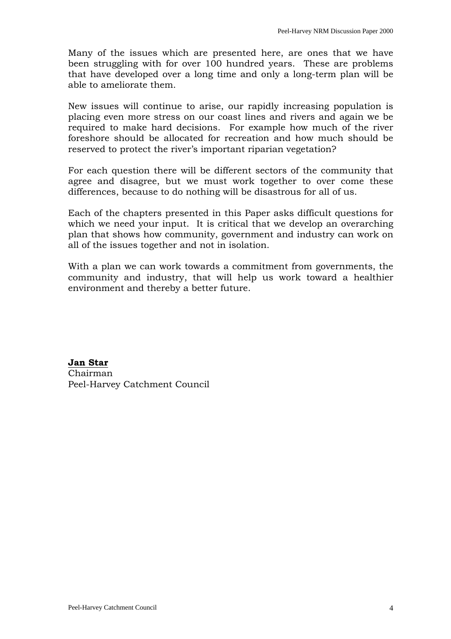Many of the issues which are presented here, are ones that we have been struggling with for over 100 hundred years. These are problems that have developed over a long time and only a long-term plan will be able to ameliorate them.

New issues will continue to arise, our rapidly increasing population is placing even more stress on our coast lines and rivers and again we be required to make hard decisions. For example how much of the river foreshore should be allocated for recreation and how much should be reserved to protect the river's important riparian vegetation?

For each question there will be different sectors of the community that agree and disagree, but we must work together to over come these differences, because to do nothing will be disastrous for all of us.

Each of the chapters presented in this Paper asks difficult questions for which we need your input. It is critical that we develop an overarching plan that shows how community, government and industry can work on all of the issues together and not in isolation.

With a plan we can work towards a commitment from governments, the community and industry, that will help us work toward a healthier environment and thereby a better future.

**Jan Star** Chairman Peel-Harvey Catchment Council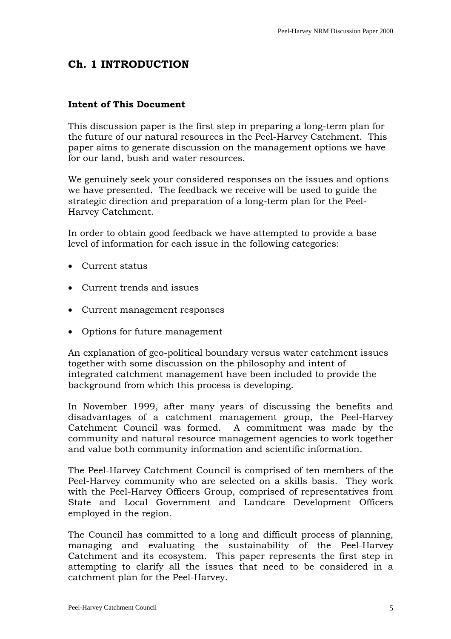# <span id="page-4-0"></span>**Ch. 1 INTRODUCTION**

### **Intent of This Document**

This discussion paper is the first step in preparing a long-term plan for the future of our natural resources in the Peel-Harvey Catchment. This paper aims to generate discussion on the management options we have for our land, bush and water resources.

We genuinely seek your considered responses on the issues and options we have presented. The feedback we receive will be used to guide the strategic direction and preparation of a long-term plan for the Peel-Harvey Catchment.

In order to obtain good feedback we have attempted to provide a base level of information for each issue in the following categories:

- Current status
- Current trends and issues
- Current management responses
- Options for future management

An explanation of geo-political boundary versus water catchment issues together with some discussion on the philosophy and intent of integrated catchment management have been included to provide the background from which this process is developing.

In November 1999, after many years of discussing the benefits and disadvantages of a catchment management group, the Peel-Harvey Catchment Council was formed. A commitment was made by the community and natural resource management agencies to work together and value both community information and scientific information.

The Peel-Harvey Catchment Council is comprised of ten members of the Peel-Harvey community who are selected on a skills basis. They work with the Peel-Harvey Officers Group, comprised of representatives from State and Local Government and Landcare Development Officers employed in the region.

The Council has committed to a long and difficult process of planning, managing and evaluating the sustainability of the Peel-Harvey Catchment and its ecosystem. This paper represents the first step in attempting to clarify all the issues that need to be considered in a catchment plan for the Peel-Harvey.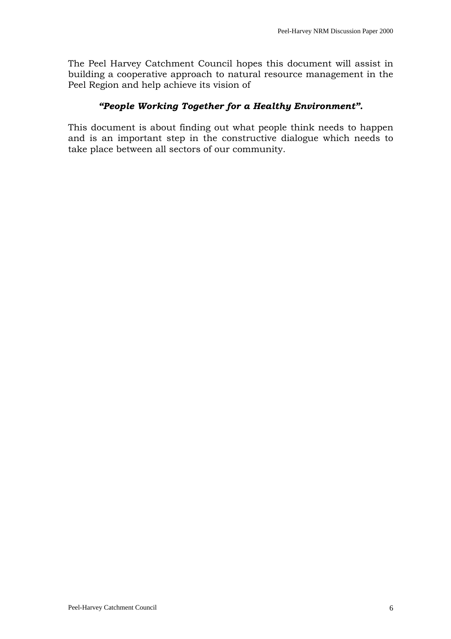The Peel Harvey Catchment Council hopes this document will assist in building a cooperative approach to natural resource management in the Peel Region and help achieve its vision of

# *"People Working Together for a Healthy Environment".*

This document is about finding out what people think needs to happen and is an important step in the constructive dialogue which needs to take place between all sectors of our community.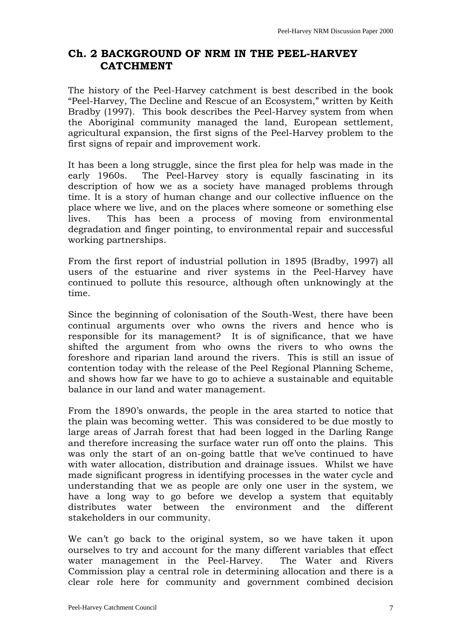# <span id="page-6-0"></span>**Ch. 2 BACKGROUND OF NRM IN THE PEEL-HARVEY CATCHMENT**

The history of the Peel-Harvey catchment is best described in the book "Peel-Harvey, The Decline and Rescue of an Ecosystem," written by Keith Bradby (1997). This book describes the Peel-Harvey system from when the Aboriginal community managed the land, European settlement, agricultural expansion, the first signs of the Peel-Harvey problem to the first signs of repair and improvement work.

It has been a long struggle, since the first plea for help was made in the early 1960s. The Peel-Harvey story is equally fascinating in its description of how we as a society have managed problems through time. It is a story of human change and our collective influence on the place where we live, and on the places where someone or something else lives. This has been a process of moving from environmental degradation and finger pointing, to environmental repair and successful working partnerships.

From the first report of industrial pollution in 1895 (Bradby, 1997) all users of the estuarine and river systems in the Peel-Harvey have continued to pollute this resource, although often unknowingly at the time.

Since the beginning of colonisation of the South-West, there have been continual arguments over who owns the rivers and hence who is responsible for its management? It is of significance, that we have shifted the argument from who owns the rivers to who owns the foreshore and riparian land around the rivers. This is still an issue of contention today with the release of the Peel Regional Planning Scheme, and shows how far we have to go to achieve a sustainable and equitable balance in our land and water management.

From the 1890's onwards, the people in the area started to notice that the plain was becoming wetter. This was considered to be due mostly to large areas of Jarrah forest that had been logged in the Darling Range and therefore increasing the surface water run off onto the plains. This was only the start of an on-going battle that we've continued to have with water allocation, distribution and drainage issues. Whilst we have made significant progress in identifying processes in the water cycle and understanding that we as people are only one user in the system, we have a long way to go before we develop a system that equitably distributes water between the environment and the different stakeholders in our community.

We can't go back to the original system, so we have taken it upon ourselves to try and account for the many different variables that effect water management in the Peel-Harvey. The Water and Rivers Commission play a central role in determining allocation and there is a clear role here for community and government combined decision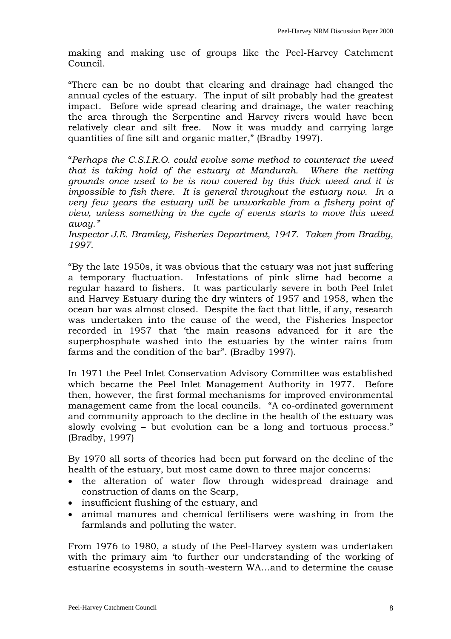making and making use of groups like the Peel-Harvey Catchment Council.

"There can be no doubt that clearing and drainage had changed the annual cycles of the estuary. The input of silt probably had the greatest impact. Before wide spread clearing and drainage, the water reaching the area through the Serpentine and Harvey rivers would have been relatively clear and silt free. Now it was muddy and carrying large quantities of fine silt and organic matter," (Bradby 1997).

"*Perhaps the C.S.I.R.O. could evolve some method to counteract the weed that is taking hold of the estuary at Mandurah. Where the netting grounds once used to be is now covered by this thick weed and it is impossible to fish there. It is general throughout the estuary now. In a very few years the estuary will be unworkable from a fishery point of view, unless something in the cycle of events starts to move this weed away."* 

*Inspector J.E. Bramley, Fisheries Department, 1947. Taken from Bradby, 1997.* 

"By the late 1950s, it was obvious that the estuary was not just suffering a temporary fluctuation. Infestations of pink slime had become a regular hazard to fishers. It was particularly severe in both Peel Inlet and Harvey Estuary during the dry winters of 1957 and 1958, when the ocean bar was almost closed. Despite the fact that little, if any, research was undertaken into the cause of the weed, the Fisheries Inspector recorded in 1957 that 'the main reasons advanced for it are the superphosphate washed into the estuaries by the winter rains from farms and the condition of the bar". (Bradby 1997).

In 1971 the Peel Inlet Conservation Advisory Committee was established which became the Peel Inlet Management Authority in 1977. Before then, however, the first formal mechanisms for improved environmental management came from the local councils. "A co-ordinated government and community approach to the decline in the health of the estuary was slowly evolving – but evolution can be a long and tortuous process." (Bradby, 1997)

By 1970 all sorts of theories had been put forward on the decline of the health of the estuary, but most came down to three major concerns:

- the alteration of water flow through widespread drainage and construction of dams on the Scarp,
- insufficient flushing of the estuary, and
- animal manures and chemical fertilisers were washing in from the farmlands and polluting the water.

From 1976 to 1980, a study of the Peel-Harvey system was undertaken with the primary aim 'to further our understanding of the working of estuarine ecosystems in south-western WA…and to determine the cause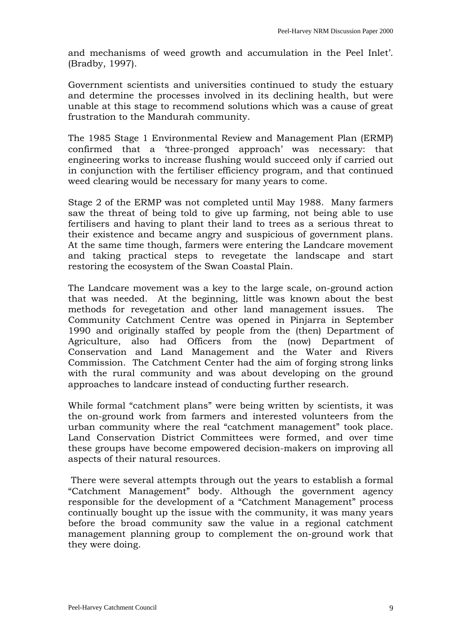and mechanisms of weed growth and accumulation in the Peel Inlet'. (Bradby, 1997).

Government scientists and universities continued to study the estuary and determine the processes involved in its declining health, but were unable at this stage to recommend solutions which was a cause of great frustration to the Mandurah community.

The 1985 Stage 1 Environmental Review and Management Plan (ERMP) confirmed that a 'three-pronged approach' was necessary: that engineering works to increase flushing would succeed only if carried out in conjunction with the fertiliser efficiency program, and that continued weed clearing would be necessary for many years to come.

Stage 2 of the ERMP was not completed until May 1988. Many farmers saw the threat of being told to give up farming, not being able to use fertilisers and having to plant their land to trees as a serious threat to their existence and became angry and suspicious of government plans. At the same time though, farmers were entering the Landcare movement and taking practical steps to revegetate the landscape and start restoring the ecosystem of the Swan Coastal Plain.

The Landcare movement was a key to the large scale, on-ground action that was needed. At the beginning, little was known about the best methods for revegetation and other land management issues. The Community Catchment Centre was opened in Pinjarra in September 1990 and originally staffed by people from the (then) Department of Agriculture, also had Officers from the (now) Department of Conservation and Land Management and the Water and Rivers Commission. The Catchment Center had the aim of forging strong links with the rural community and was about developing on the ground approaches to landcare instead of conducting further research.

While formal "catchment plans" were being written by scientists, it was the on-ground work from farmers and interested volunteers from the urban community where the real "catchment management" took place. Land Conservation District Committees were formed, and over time these groups have become empowered decision-makers on improving all aspects of their natural resources.

 There were several attempts through out the years to establish a formal "Catchment Management" body. Although the government agency responsible for the development of a "Catchment Management" process continually bought up the issue with the community, it was many years before the broad community saw the value in a regional catchment management planning group to complement the on-ground work that they were doing.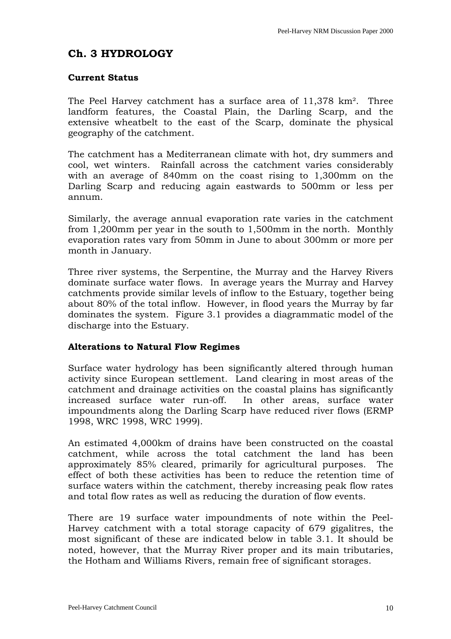# <span id="page-9-0"></span>**Ch. 3 HYDROLOGY**

# **Current Status**

The Peel Harvey catchment has a surface area of 11,378 km². Three landform features, the Coastal Plain, the Darling Scarp, and the extensive wheatbelt to the east of the Scarp, dominate the physical geography of the catchment.

The catchment has a Mediterranean climate with hot, dry summers and cool, wet winters. Rainfall across the catchment varies considerably with an average of 840mm on the coast rising to 1,300mm on the Darling Scarp and reducing again eastwards to 500mm or less per annum.

Similarly, the average annual evaporation rate varies in the catchment from 1,200mm per year in the south to 1,500mm in the north. Monthly evaporation rates vary from 50mm in June to about 300mm or more per month in January.

Three river systems, the Serpentine, the Murray and the Harvey Rivers dominate surface water flows. In average years the Murray and Harvey catchments provide similar levels of inflow to the Estuary, together being about 80% of the total inflow. However, in flood years the Murray by far dominates the system. Figure 3.1 provides a diagrammatic model of the discharge into the Estuary.

# **Alterations to Natural Flow Regimes**

Surface water hydrology has been significantly altered through human activity since European settlement. Land clearing in most areas of the catchment and drainage activities on the coastal plains has significantly increased surface water run-off. In other areas, surface water impoundments along the Darling Scarp have reduced river flows (ERMP 1998, WRC 1998, WRC 1999).

An estimated 4,000km of drains have been constructed on the coastal catchment, while across the total catchment the land has been approximately 85% cleared, primarily for agricultural purposes. The effect of both these activities has been to reduce the retention time of surface waters within the catchment, thereby increasing peak flow rates and total flow rates as well as reducing the duration of flow events.

There are 19 surface water impoundments of note within the Peel-Harvey catchment with a total storage capacity of 679 gigalitres, the most significant of these are indicated below in table 3.1. It should be noted, however, that the Murray River proper and its main tributaries, the Hotham and Williams Rivers, remain free of significant storages.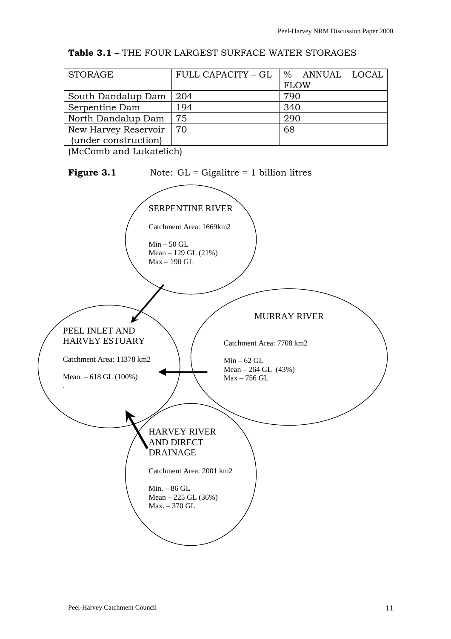| <b>Table 3.1 - THE FOUR LARGEST SURFACE WATER STORAGES</b> |  |
|------------------------------------------------------------|--|
|------------------------------------------------------------|--|

| STORAGE              | FULL CAPACITY - GL | % ANNUAL LOCAL |
|----------------------|--------------------|----------------|
|                      |                    | <b>FLOW</b>    |
| South Dandalup Dam   | -204               | 790            |
| Serpentine Dam       | 194                | 340            |
| North Dandalup Dam   | 75                 | 290            |
| New Harvey Reservoir | 70                 | 68             |
| (under construction) |                    |                |

(McComb and Lukatelich)

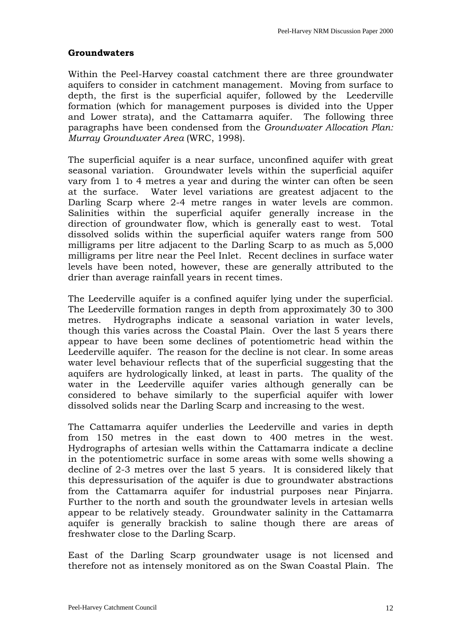# **Groundwaters**

Within the Peel-Harvey coastal catchment there are three groundwater aquifers to consider in catchment management. Moving from surface to depth, the first is the superficial aquifer, followed by the Leederville formation (which for management purposes is divided into the Upper and Lower strata), and the Cattamarra aquifer. The following three paragraphs have been condensed from the *Groundwater Allocation Plan: Murray Groundwater Area* (WRC, 1998).

The superficial aquifer is a near surface, unconfined aquifer with great seasonal variation. Groundwater levels within the superficial aquifer vary from 1 to 4 metres a year and during the winter can often be seen at the surface. Water level variations are greatest adjacent to the Darling Scarp where 2-4 metre ranges in water levels are common. Salinities within the superficial aquifer generally increase in the direction of groundwater flow, which is generally east to west. Total dissolved solids within the superficial aquifer waters range from 500 milligrams per litre adjacent to the Darling Scarp to as much as 5,000 milligrams per litre near the Peel Inlet. Recent declines in surface water levels have been noted, however, these are generally attributed to the drier than average rainfall years in recent times.

The Leederville aquifer is a confined aquifer lying under the superficial. The Leederville formation ranges in depth from approximately 30 to 300 metres. Hydrographs indicate a seasonal variation in water levels, though this varies across the Coastal Plain. Over the last 5 years there appear to have been some declines of potentiometric head within the Leederville aquifer. The reason for the decline is not clear. In some areas water level behaviour reflects that of the superficial suggesting that the aquifers are hydrologically linked, at least in parts. The quality of the water in the Leederville aquifer varies although generally can be considered to behave similarly to the superficial aquifer with lower dissolved solids near the Darling Scarp and increasing to the west.

The Cattamarra aquifer underlies the Leederville and varies in depth from 150 metres in the east down to 400 metres in the west. Hydrographs of artesian wells within the Cattamarra indicate a decline in the potentiometric surface in some areas with some wells showing a decline of 2-3 metres over the last 5 years. It is considered likely that this depressurisation of the aquifer is due to groundwater abstractions from the Cattamarra aquifer for industrial purposes near Pinjarra. Further to the north and south the groundwater levels in artesian wells appear to be relatively steady. Groundwater salinity in the Cattamarra aquifer is generally brackish to saline though there are areas of freshwater close to the Darling Scarp.

East of the Darling Scarp groundwater usage is not licensed and therefore not as intensely monitored as on the Swan Coastal Plain. The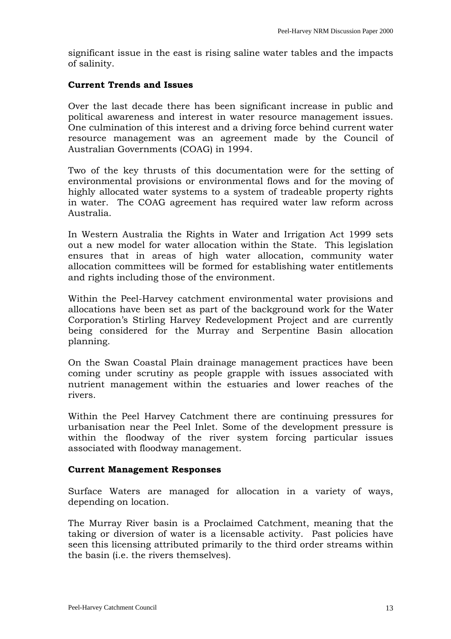significant issue in the east is rising saline water tables and the impacts of salinity.

### **Current Trends and Issues**

Over the last decade there has been significant increase in public and political awareness and interest in water resource management issues. One culmination of this interest and a driving force behind current water resource management was an agreement made by the Council of Australian Governments (COAG) in 1994.

Two of the key thrusts of this documentation were for the setting of environmental provisions or environmental flows and for the moving of highly allocated water systems to a system of tradeable property rights in water. The COAG agreement has required water law reform across Australia.

In Western Australia the Rights in Water and Irrigation Act 1999 sets out a new model for water allocation within the State. This legislation ensures that in areas of high water allocation, community water allocation committees will be formed for establishing water entitlements and rights including those of the environment.

Within the Peel-Harvey catchment environmental water provisions and allocations have been set as part of the background work for the Water Corporation's Stirling Harvey Redevelopment Project and are currently being considered for the Murray and Serpentine Basin allocation planning.

On the Swan Coastal Plain drainage management practices have been coming under scrutiny as people grapple with issues associated with nutrient management within the estuaries and lower reaches of the rivers.

Within the Peel Harvey Catchment there are continuing pressures for urbanisation near the Peel Inlet. Some of the development pressure is within the floodway of the river system forcing particular issues associated with floodway management.

#### **Current Management Responses**

Surface Waters are managed for allocation in a variety of ways, depending on location.

The Murray River basin is a Proclaimed Catchment, meaning that the taking or diversion of water is a licensable activity. Past policies have seen this licensing attributed primarily to the third order streams within the basin (i.e. the rivers themselves).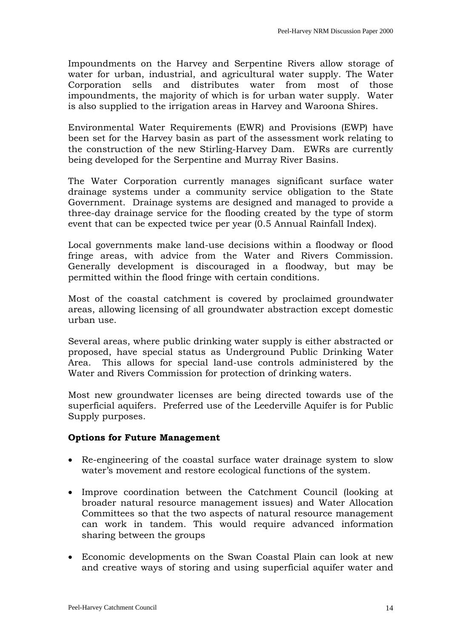Impoundments on the Harvey and Serpentine Rivers allow storage of water for urban, industrial, and agricultural water supply. The Water Corporation sells and distributes water from most of those impoundments, the majority of which is for urban water supply. Water is also supplied to the irrigation areas in Harvey and Waroona Shires.

Environmental Water Requirements (EWR) and Provisions (EWP) have been set for the Harvey basin as part of the assessment work relating to the construction of the new Stirling-Harvey Dam. EWRs are currently being developed for the Serpentine and Murray River Basins.

The Water Corporation currently manages significant surface water drainage systems under a community service obligation to the State Government. Drainage systems are designed and managed to provide a three-day drainage service for the flooding created by the type of storm event that can be expected twice per year (0.5 Annual Rainfall Index).

Local governments make land-use decisions within a floodway or flood fringe areas, with advice from the Water and Rivers Commission. Generally development is discouraged in a floodway, but may be permitted within the flood fringe with certain conditions.

Most of the coastal catchment is covered by proclaimed groundwater areas, allowing licensing of all groundwater abstraction except domestic urban use.

Several areas, where public drinking water supply is either abstracted or proposed, have special status as Underground Public Drinking Water Area. This allows for special land-use controls administered by the Water and Rivers Commission for protection of drinking waters.

Most new groundwater licenses are being directed towards use of the superficial aquifers. Preferred use of the Leederville Aquifer is for Public Supply purposes.

# **Options for Future Management**

- Re-engineering of the coastal surface water drainage system to slow water's movement and restore ecological functions of the system.
- Improve coordination between the Catchment Council (looking at broader natural resource management issues) and Water Allocation Committees so that the two aspects of natural resource management can work in tandem. This would require advanced information sharing between the groups
- Economic developments on the Swan Coastal Plain can look at new and creative ways of storing and using superficial aquifer water and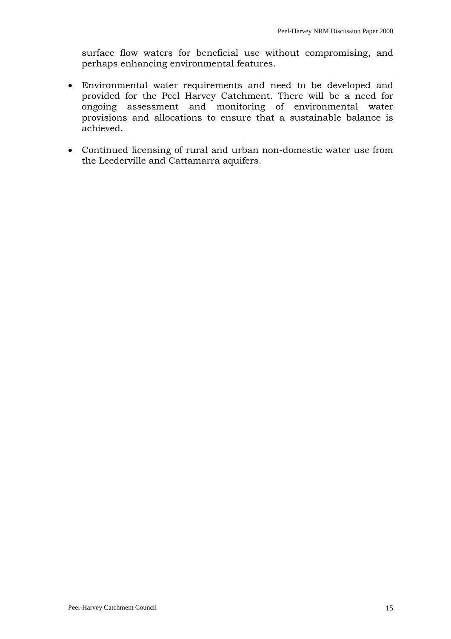surface flow waters for beneficial use without compromising, and perhaps enhancing environmental features.

- Environmental water requirements and need to be developed and provided for the Peel Harvey Catchment. There will be a need for ongoing assessment and monitoring of environmental water provisions and allocations to ensure that a sustainable balance is achieved.
- Continued licensing of rural and urban non-domestic water use from the Leederville and Cattamarra aquifers.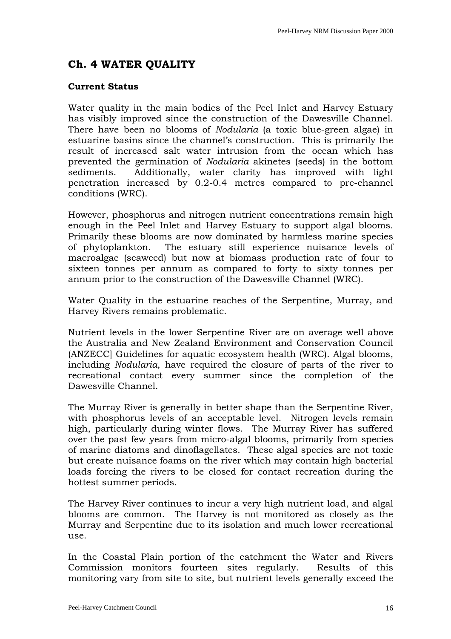# <span id="page-15-0"></span>**Ch. 4 WATER QUALITY**

# **Current Status**

Water quality in the main bodies of the Peel Inlet and Harvey Estuary has visibly improved since the construction of the Dawesville Channel. There have been no blooms of *Nodularia* (a toxic blue-green algae) in estuarine basins since the channel's construction. This is primarily the result of increased salt water intrusion from the ocean which has prevented the germination of *Nodularia* akinetes (seeds) in the bottom sediments. Additionally, water clarity has improved with light penetration increased by 0.2-0.4 metres compared to pre-channel conditions (WRC).

However, phosphorus and nitrogen nutrient concentrations remain high enough in the Peel Inlet and Harvey Estuary to support algal blooms. Primarily these blooms are now dominated by harmless marine species of phytoplankton. The estuary still experience nuisance levels of macroalgae (seaweed) but now at biomass production rate of four to sixteen tonnes per annum as compared to forty to sixty tonnes per annum prior to the construction of the Dawesville Channel (WRC).

Water Quality in the estuarine reaches of the Serpentine, Murray, and Harvey Rivers remains problematic.

Nutrient levels in the lower Serpentine River are on average well above the Australia and New Zealand Environment and Conservation Council (ANZECC] Guidelines for aquatic ecosystem health (WRC). Algal blooms, including *Nodularia*, have required the closure of parts of the river to recreational contact every summer since the completion of the Dawesville Channel.

The Murray River is generally in better shape than the Serpentine River, with phosphorus levels of an acceptable level. Nitrogen levels remain high, particularly during winter flows. The Murray River has suffered over the past few years from micro-algal blooms, primarily from species of marine diatoms and dinoflagellates. These algal species are not toxic but create nuisance foams on the river which may contain high bacterial loads forcing the rivers to be closed for contact recreation during the hottest summer periods.

The Harvey River continues to incur a very high nutrient load, and algal blooms are common. The Harvey is not monitored as closely as the Murray and Serpentine due to its isolation and much lower recreational use.

In the Coastal Plain portion of the catchment the Water and Rivers Commission monitors fourteen sites regularly. Results of this monitoring vary from site to site, but nutrient levels generally exceed the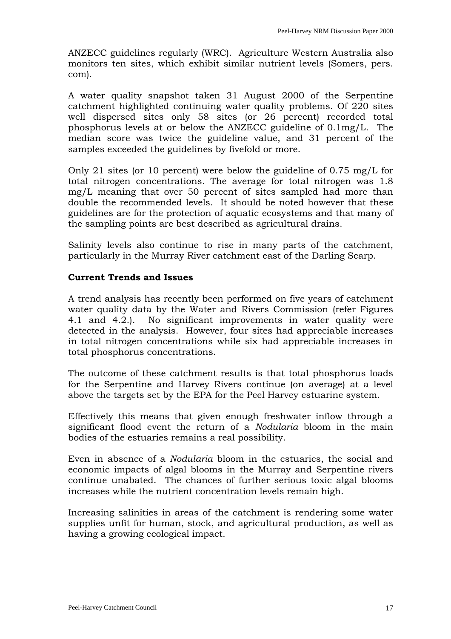ANZECC guidelines regularly (WRC). Agriculture Western Australia also monitors ten sites, which exhibit similar nutrient levels (Somers, pers. com).

A water quality snapshot taken 31 August 2000 of the Serpentine catchment highlighted continuing water quality problems. Of 220 sites well dispersed sites only 58 sites (or 26 percent) recorded total phosphorus levels at or below the ANZECC guideline of 0.1mg/L. The median score was twice the guideline value, and 31 percent of the samples exceeded the guidelines by fivefold or more.

Only 21 sites (or 10 percent) were below the guideline of 0.75 mg/L for total nitrogen concentrations. The average for total nitrogen was 1.8 mg/L meaning that over 50 percent of sites sampled had more than double the recommended levels. It should be noted however that these guidelines are for the protection of aquatic ecosystems and that many of the sampling points are best described as agricultural drains.

Salinity levels also continue to rise in many parts of the catchment, particularly in the Murray River catchment east of the Darling Scarp.

# **Current Trends and Issues**

A trend analysis has recently been performed on five years of catchment water quality data by the Water and Rivers Commission (refer Figures 4.1 and 4.2.). No significant improvements in water quality were detected in the analysis. However, four sites had appreciable increases in total nitrogen concentrations while six had appreciable increases in total phosphorus concentrations.

The outcome of these catchment results is that total phosphorus loads for the Serpentine and Harvey Rivers continue (on average) at a level above the targets set by the EPA for the Peel Harvey estuarine system.

Effectively this means that given enough freshwater inflow through a significant flood event the return of a *Nodularia* bloom in the main bodies of the estuaries remains a real possibility.

Even in absence of a *Nodularia* bloom in the estuaries, the social and economic impacts of algal blooms in the Murray and Serpentine rivers continue unabated. The chances of further serious toxic algal blooms increases while the nutrient concentration levels remain high.

Increasing salinities in areas of the catchment is rendering some water supplies unfit for human, stock, and agricultural production, as well as having a growing ecological impact.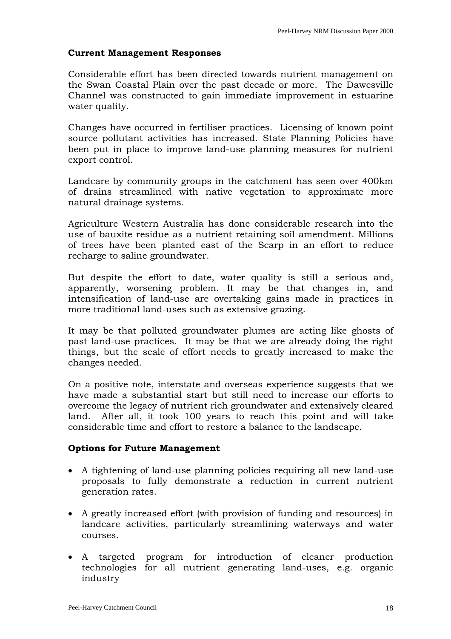### **Current Management Responses**

Considerable effort has been directed towards nutrient management on the Swan Coastal Plain over the past decade or more. The Dawesville Channel was constructed to gain immediate improvement in estuarine water quality.

Changes have occurred in fertiliser practices. Licensing of known point source pollutant activities has increased. State Planning Policies have been put in place to improve land-use planning measures for nutrient export control.

Landcare by community groups in the catchment has seen over 400km of drains streamlined with native vegetation to approximate more natural drainage systems.

Agriculture Western Australia has done considerable research into the use of bauxite residue as a nutrient retaining soil amendment. Millions of trees have been planted east of the Scarp in an effort to reduce recharge to saline groundwater.

But despite the effort to date, water quality is still a serious and, apparently, worsening problem. It may be that changes in, and intensification of land-use are overtaking gains made in practices in more traditional land-uses such as extensive grazing.

It may be that polluted groundwater plumes are acting like ghosts of past land-use practices. It may be that we are already doing the right things, but the scale of effort needs to greatly increased to make the changes needed.

On a positive note, interstate and overseas experience suggests that we have made a substantial start but still need to increase our efforts to overcome the legacy of nutrient rich groundwater and extensively cleared land. After all, it took 100 years to reach this point and will take considerable time and effort to restore a balance to the landscape.

#### **Options for Future Management**

- A tightening of land-use planning policies requiring all new land-use proposals to fully demonstrate a reduction in current nutrient generation rates.
- A greatly increased effort (with provision of funding and resources) in landcare activities, particularly streamlining waterways and water courses.
- A targeted program for introduction of cleaner production technologies for all nutrient generating land-uses, e.g. organic industry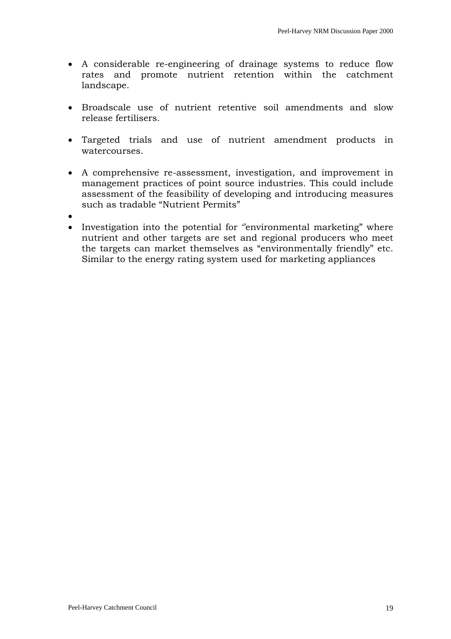- A considerable re-engineering of drainage systems to reduce flow rates and promote nutrient retention within the catchment landscape.
- Broadscale use of nutrient retentive soil amendments and slow release fertilisers.
- Targeted trials and use of nutrient amendment products in watercourses.
- A comprehensive re-assessment, investigation, and improvement in management practices of point source industries. This could include assessment of the feasibility of developing and introducing measures such as tradable "Nutrient Permits"
- •
- Investigation into the potential for "environmental marketing" where nutrient and other targets are set and regional producers who meet the targets can market themselves as "environmentally friendly" etc. Similar to the energy rating system used for marketing appliances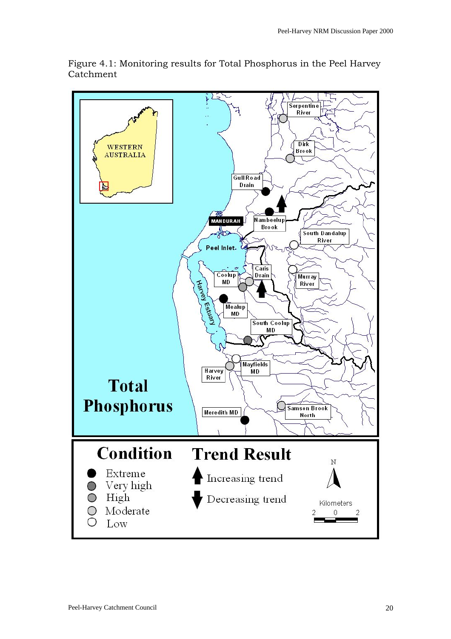

Figure 4.1: Monitoring results for Total Phosphorus in the Peel Harvey Catchment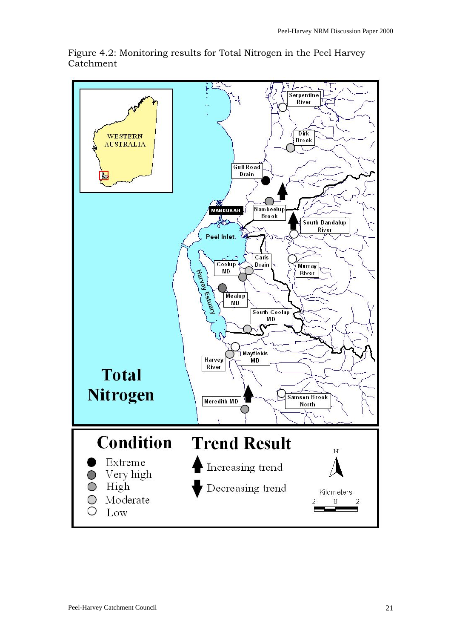

Figure 4.2: Monitoring results for Total Nitrogen in the Peel Harvey Catchment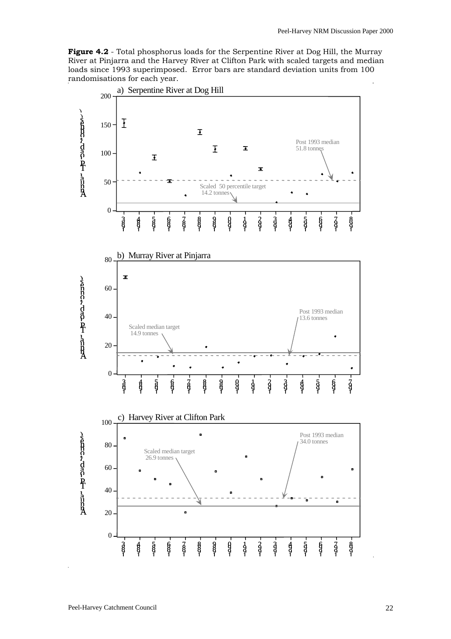**Figure 4.2** - Total phosphorus loads for the Serpentine River at Dog Hill, the Murray River at Pinjarra and the Harvey River at Clifton Park with scaled targets and median loads since 1993 superimposed. Error bars are standard deviation units from 100 randomisations for each year.

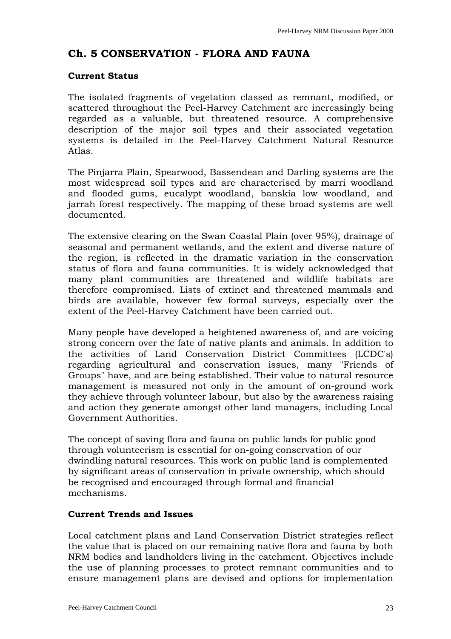# <span id="page-22-0"></span>**Ch. 5 CONSERVATION - FLORA AND FAUNA**

### **Current Status**

The isolated fragments of vegetation classed as remnant, modified, or scattered throughout the Peel-Harvey Catchment are increasingly being regarded as a valuable, but threatened resource. A comprehensive description of the major soil types and their associated vegetation systems is detailed in the Peel-Harvey Catchment Natural Resource Atlas.

The Pinjarra Plain, Spearwood, Bassendean and Darling systems are the most widespread soil types and are characterised by marri woodland and flooded gums, eucalypt woodland, banskia low woodland, and jarrah forest respectively. The mapping of these broad systems are well documented.

The extensive clearing on the Swan Coastal Plain (over 95%), drainage of seasonal and permanent wetlands, and the extent and diverse nature of the region, is reflected in the dramatic variation in the conservation status of flora and fauna communities. It is widely acknowledged that many plant communities are threatened and wildlife habitats are therefore compromised. Lists of extinct and threatened mammals and birds are available, however few formal surveys, especially over the extent of the Peel-Harvey Catchment have been carried out.

Many people have developed a heightened awareness of, and are voicing strong concern over the fate of native plants and animals. In addition to the activities of Land Conservation District Committees (LCDC's) regarding agricultural and conservation issues, many "Friends of Groups" have, and are being established. Their value to natural resource management is measured not only in the amount of on-ground work they achieve through volunteer labour, but also by the awareness raising and action they generate amongst other land managers, including Local Government Authorities.

The concept of saving flora and fauna on public lands for public good through volunteerism is essential for on-going conservation of our dwindling natural resources. This work on public land is complemented by significant areas of conservation in private ownership, which should be recognised and encouraged through formal and financial mechanisms.

# **Current Trends and Issues**

Local catchment plans and Land Conservation District strategies reflect the value that is placed on our remaining native flora and fauna by both NRM bodies and landholders living in the catchment. Objectives include the use of planning processes to protect remnant communities and to ensure management plans are devised and options for implementation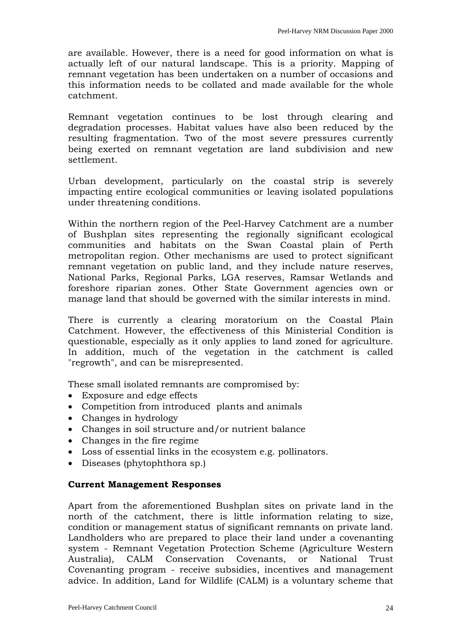are available. However, there is a need for good information on what is actually left of our natural landscape. This is a priority. Mapping of remnant vegetation has been undertaken on a number of occasions and this information needs to be collated and made available for the whole catchment.

Remnant vegetation continues to be lost through clearing and degradation processes. Habitat values have also been reduced by the resulting fragmentation. Two of the most severe pressures currently being exerted on remnant vegetation are land subdivision and new settlement.

Urban development, particularly on the coastal strip is severely impacting entire ecological communities or leaving isolated populations under threatening conditions.

Within the northern region of the Peel-Harvey Catchment are a number of Bushplan sites representing the regionally significant ecological communities and habitats on the Swan Coastal plain of Perth metropolitan region. Other mechanisms are used to protect significant remnant vegetation on public land, and they include nature reserves, National Parks, Regional Parks, LGA reserves, Ramsar Wetlands and foreshore riparian zones. Other State Government agencies own or manage land that should be governed with the similar interests in mind.

There is currently a clearing moratorium on the Coastal Plain Catchment. However, the effectiveness of this Ministerial Condition is questionable, especially as it only applies to land zoned for agriculture. In addition, much of the vegetation in the catchment is called "regrowth", and can be misrepresented.

These small isolated remnants are compromised by:

- Exposure and edge effects
- Competition from introduced plants and animals
- Changes in hydrology
- Changes in soil structure and/or nutrient balance
- Changes in the fire regime
- Loss of essential links in the ecosystem e.g. pollinators.
- Diseases (phytophthora sp.)

#### **Current Management Responses**

Apart from the aforementioned Bushplan sites on private land in the north of the catchment, there is little information relating to size, condition or management status of significant remnants on private land. Landholders who are prepared to place their land under a covenanting system - Remnant Vegetation Protection Scheme (Agriculture Western Australia), CALM Conservation Covenants, or National Trust Covenanting program - receive subsidies, incentives and management advice. In addition, Land for Wildlife (CALM) is a voluntary scheme that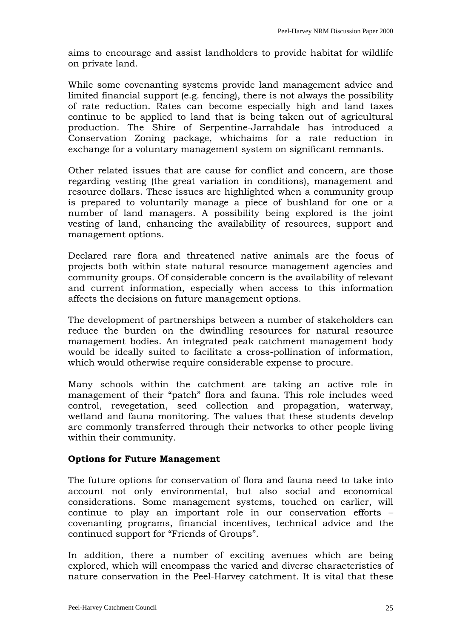aims to encourage and assist landholders to provide habitat for wildlife on private land.

While some covenanting systems provide land management advice and limited financial support (e.g. fencing), there is not always the possibility of rate reduction. Rates can become especially high and land taxes continue to be applied to land that is being taken out of agricultural production. The Shire of Serpentine-Jarrahdale has introduced a Conservation Zoning package, whichaims for a rate reduction in exchange for a voluntary management system on significant remnants.

Other related issues that are cause for conflict and concern, are those regarding vesting (the great variation in conditions), management and resource dollars. These issues are highlighted when a community group is prepared to voluntarily manage a piece of bushland for one or a number of land managers. A possibility being explored is the joint vesting of land, enhancing the availability of resources, support and management options.

Declared rare flora and threatened native animals are the focus of projects both within state natural resource management agencies and community groups. Of considerable concern is the availability of relevant and current information, especially when access to this information affects the decisions on future management options.

The development of partnerships between a number of stakeholders can reduce the burden on the dwindling resources for natural resource management bodies. An integrated peak catchment management body would be ideally suited to facilitate a cross-pollination of information, which would otherwise require considerable expense to procure.

Many schools within the catchment are taking an active role in management of their "patch" flora and fauna. This role includes weed control, revegetation, seed collection and propagation, waterway, wetland and fauna monitoring. The values that these students develop are commonly transferred through their networks to other people living within their community.

#### **Options for Future Management**

The future options for conservation of flora and fauna need to take into account not only environmental, but also social and economical considerations. Some management systems, touched on earlier, will continue to play an important role in our conservation efforts – covenanting programs, financial incentives, technical advice and the continued support for "Friends of Groups".

In addition, there a number of exciting avenues which are being explored, which will encompass the varied and diverse characteristics of nature conservation in the Peel-Harvey catchment. It is vital that these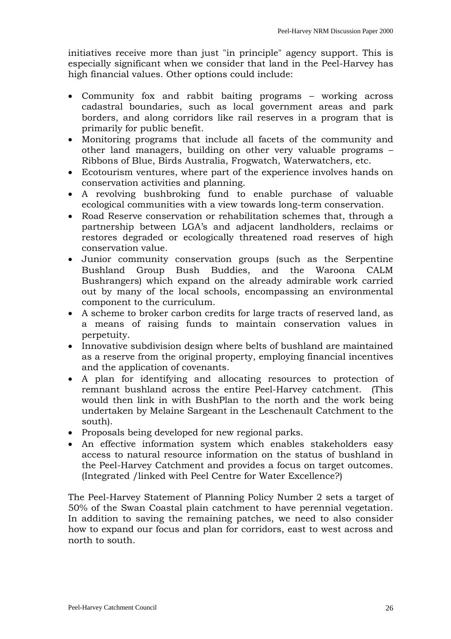initiatives receive more than just "in principle" agency support. This is especially significant when we consider that land in the Peel-Harvey has high financial values. Other options could include:

- Community fox and rabbit baiting programs working across cadastral boundaries, such as local government areas and park borders, and along corridors like rail reserves in a program that is primarily for public benefit.
- Monitoring programs that include all facets of the community and other land managers, building on other very valuable programs – Ribbons of Blue, Birds Australia, Frogwatch, Waterwatchers, etc.
- Ecotourism ventures, where part of the experience involves hands on conservation activities and planning.
- A revolving bushbroking fund to enable purchase of valuable ecological communities with a view towards long-term conservation.
- Road Reserve conservation or rehabilitation schemes that, through a partnership between LGA's and adjacent landholders, reclaims or restores degraded or ecologically threatened road reserves of high conservation value.
- Junior community conservation groups (such as the Serpentine Bushland Group Bush Buddies, and the Waroona CALM Bushrangers) which expand on the already admirable work carried out by many of the local schools, encompassing an environmental component to the curriculum.
- A scheme to broker carbon credits for large tracts of reserved land, as a means of raising funds to maintain conservation values in perpetuity.
- Innovative subdivision design where belts of bushland are maintained as a reserve from the original property, employing financial incentives and the application of covenants.
- A plan for identifying and allocating resources to protection of remnant bushland across the entire Peel-Harvey catchment. (This would then link in with BushPlan to the north and the work being undertaken by Melaine Sargeant in the Leschenault Catchment to the south).
- Proposals being developed for new regional parks.
- An effective information system which enables stakeholders easy access to natural resource information on the status of bushland in the Peel-Harvey Catchment and provides a focus on target outcomes. (Integrated /linked with Peel Centre for Water Excellence?)

The Peel-Harvey Statement of Planning Policy Number 2 sets a target of 50% of the Swan Coastal plain catchment to have perennial vegetation. In addition to saving the remaining patches, we need to also consider how to expand our focus and plan for corridors, east to west across and north to south.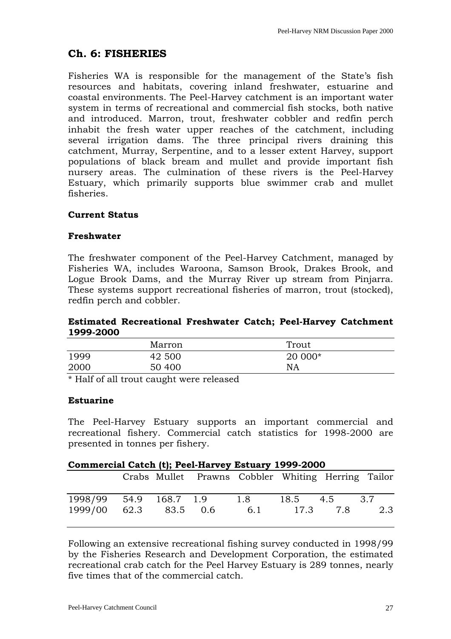# <span id="page-26-0"></span>**Ch. 6: FISHERIES**

Fisheries WA is responsible for the management of the State's fish resources and habitats, covering inland freshwater, estuarine and coastal environments. The Peel-Harvey catchment is an important water system in terms of recreational and commercial fish stocks, both native and introduced. Marron, trout, freshwater cobbler and redfin perch inhabit the fresh water upper reaches of the catchment, including several irrigation dams. The three principal rivers draining this catchment, Murray, Serpentine, and to a lesser extent Harvey, support populations of black bream and mullet and provide important fish nursery areas. The culmination of these rivers is the Peel-Harvey Estuary, which primarily supports blue swimmer crab and mullet fisheries.

# **Current Status**

#### **Freshwater**

The freshwater component of the Peel-Harvey Catchment, managed by Fisheries WA, includes Waroona, Samson Brook, Drakes Brook, and Logue Brook Dams, and the Murray River up stream from Pinjarra. These systems support recreational fisheries of marron, trout (stocked), redfin perch and cobbler.

#### **Estimated Recreational Freshwater Catch; Peel-Harvey Catchment 1999-2000**

|            | Marron | Trout   |  |
|------------|--------|---------|--|
| 1999       | 42 500 | 20 000* |  |
| 2000       | 50 400 | NA      |  |
| 1.77100111 |        |         |  |

\* Half of all trout caught were released

# **Estuarine**

The Peel-Harvey Estuary supports an important commercial and recreational fishery. Commercial catch statistics for 1998-2000 are presented in tonnes per fishery.

| Commercial Catch (t); Peel-Harvey Estuary 1999-2000 |  |               |                                                    |            |  |                          |     |
|-----------------------------------------------------|--|---------------|----------------------------------------------------|------------|--|--------------------------|-----|
|                                                     |  |               | Crabs Mullet Prawns Cobbler Whiting Herring Tailor |            |  |                          |     |
| 1998/99 54.9 168.7 1.9<br>1999/00                   |  | 62.3 83.5 0.6 |                                                    | 1.8<br>6.1 |  | 18.5 4.5 3.7<br>17.3 7.8 | 2.3 |

Following an extensive recreational fishing survey conducted in 1998/99 by the Fisheries Research and Development Corporation, the estimated recreational crab catch for the Peel Harvey Estuary is 289 tonnes, nearly five times that of the commercial catch.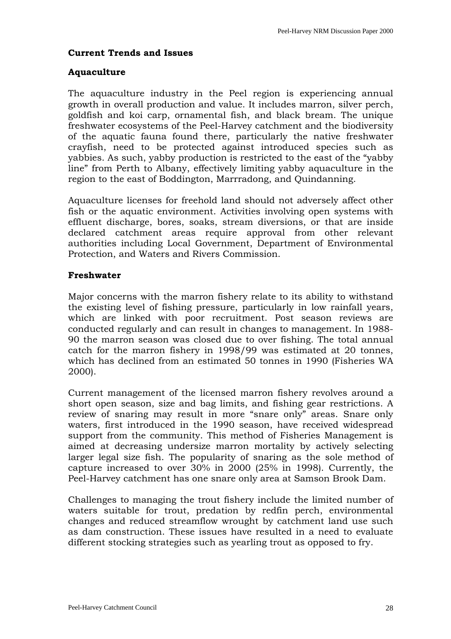# **Current Trends and Issues**

#### **Aquaculture**

The aquaculture industry in the Peel region is experiencing annual growth in overall production and value. It includes marron, silver perch, goldfish and koi carp, ornamental fish, and black bream. The unique freshwater ecosystems of the Peel-Harvey catchment and the biodiversity of the aquatic fauna found there, particularly the native freshwater crayfish, need to be protected against introduced species such as yabbies. As such, yabby production is restricted to the east of the "yabby line" from Perth to Albany, effectively limiting yabby aquaculture in the region to the east of Boddington, Marrradong, and Quindanning.

Aquaculture licenses for freehold land should not adversely affect other fish or the aquatic environment. Activities involving open systems with effluent discharge, bores, soaks, stream diversions, or that are inside declared catchment areas require approval from other relevant authorities including Local Government, Department of Environmental Protection, and Waters and Rivers Commission.

#### **Freshwater**

Major concerns with the marron fishery relate to its ability to withstand the existing level of fishing pressure, particularly in low rainfall years, which are linked with poor recruitment. Post season reviews are conducted regularly and can result in changes to management. In 1988- 90 the marron season was closed due to over fishing. The total annual catch for the marron fishery in 1998/99 was estimated at 20 tonnes, which has declined from an estimated 50 tonnes in 1990 (Fisheries WA 2000).

Current management of the licensed marron fishery revolves around a short open season, size and bag limits, and fishing gear restrictions. A review of snaring may result in more "snare only" areas. Snare only waters, first introduced in the 1990 season, have received widespread support from the community. This method of Fisheries Management is aimed at decreasing undersize marron mortality by actively selecting larger legal size fish. The popularity of snaring as the sole method of capture increased to over 30% in 2000 (25% in 1998). Currently, the Peel-Harvey catchment has one snare only area at Samson Brook Dam.

Challenges to managing the trout fishery include the limited number of waters suitable for trout, predation by redfin perch, environmental changes and reduced streamflow wrought by catchment land use such as dam construction. These issues have resulted in a need to evaluate different stocking strategies such as yearling trout as opposed to fry.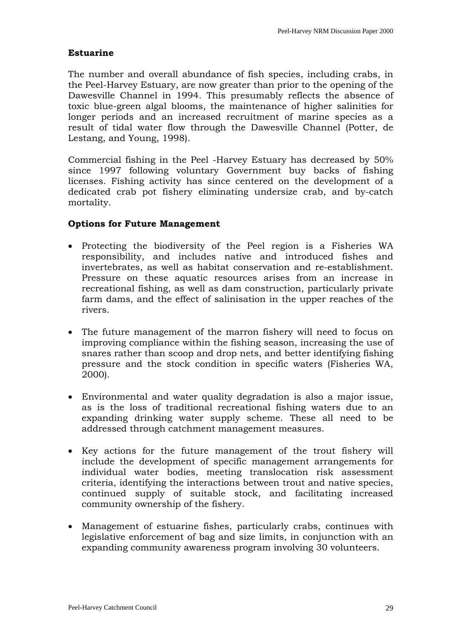### **Estuarine**

The number and overall abundance of fish species, including crabs, in the Peel-Harvey Estuary, are now greater than prior to the opening of the Dawesville Channel in 1994. This presumably reflects the absence of toxic blue-green algal blooms, the maintenance of higher salinities for longer periods and an increased recruitment of marine species as a result of tidal water flow through the Dawesville Channel (Potter, de Lestang, and Young, 1998).

Commercial fishing in the Peel -Harvey Estuary has decreased by 50% since 1997 following voluntary Government buy backs of fishing licenses. Fishing activity has since centered on the development of a dedicated crab pot fishery eliminating undersize crab, and by-catch mortality.

# **Options for Future Management**

- Protecting the biodiversity of the Peel region is a Fisheries WA responsibility, and includes native and introduced fishes and invertebrates, as well as habitat conservation and re-establishment. Pressure on these aquatic resources arises from an increase in recreational fishing, as well as dam construction, particularly private farm dams, and the effect of salinisation in the upper reaches of the rivers.
- The future management of the marron fishery will need to focus on improving compliance within the fishing season, increasing the use of snares rather than scoop and drop nets, and better identifying fishing pressure and the stock condition in specific waters (Fisheries WA, 2000).
- Environmental and water quality degradation is also a major issue, as is the loss of traditional recreational fishing waters due to an expanding drinking water supply scheme. These all need to be addressed through catchment management measures.
- Key actions for the future management of the trout fishery will include the development of specific management arrangements for individual water bodies, meeting translocation risk assessment criteria, identifying the interactions between trout and native species, continued supply of suitable stock, and facilitating increased community ownership of the fishery.
- Management of estuarine fishes, particularly crabs, continues with legislative enforcement of bag and size limits, in conjunction with an expanding community awareness program involving 30 volunteers.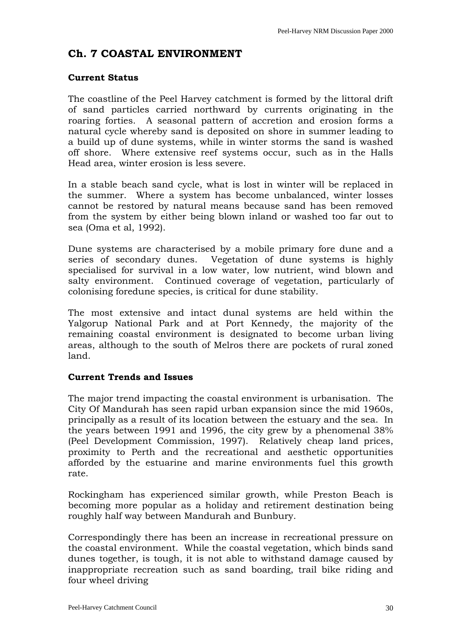# <span id="page-29-0"></span>**Ch. 7 COASTAL ENVIRONMENT**

# **Current Status**

The coastline of the Peel Harvey catchment is formed by the littoral drift of sand particles carried northward by currents originating in the roaring forties. A seasonal pattern of accretion and erosion forms a natural cycle whereby sand is deposited on shore in summer leading to a build up of dune systems, while in winter storms the sand is washed off shore. Where extensive reef systems occur, such as in the Halls Head area, winter erosion is less severe.

In a stable beach sand cycle, what is lost in winter will be replaced in the summer. Where a system has become unbalanced, winter losses cannot be restored by natural means because sand has been removed from the system by either being blown inland or washed too far out to sea (Oma et al, 1992).

Dune systems are characterised by a mobile primary fore dune and a series of secondary dunes. Vegetation of dune systems is highly specialised for survival in a low water, low nutrient, wind blown and salty environment. Continued coverage of vegetation, particularly of colonising foredune species, is critical for dune stability.

The most extensive and intact dunal systems are held within the Yalgorup National Park and at Port Kennedy, the majority of the remaining coastal environment is designated to become urban living areas, although to the south of Melros there are pockets of rural zoned land.

# **Current Trends and Issues**

The major trend impacting the coastal environment is urbanisation. The City Of Mandurah has seen rapid urban expansion since the mid 1960s, principally as a result of its location between the estuary and the sea. In the years between 1991 and 1996, the city grew by a phenomenal 38% (Peel Development Commission, 1997). Relatively cheap land prices, proximity to Perth and the recreational and aesthetic opportunities afforded by the estuarine and marine environments fuel this growth rate.

Rockingham has experienced similar growth, while Preston Beach is becoming more popular as a holiday and retirement destination being roughly half way between Mandurah and Bunbury.

Correspondingly there has been an increase in recreational pressure on the coastal environment. While the coastal vegetation, which binds sand dunes together, is tough, it is not able to withstand damage caused by inappropriate recreation such as sand boarding, trail bike riding and four wheel driving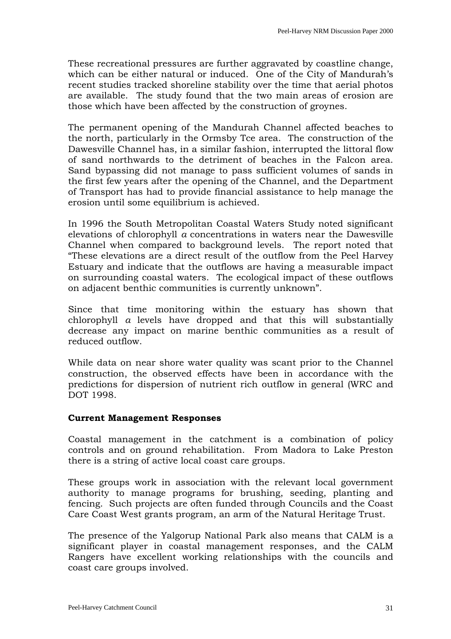These recreational pressures are further aggravated by coastline change, which can be either natural or induced. One of the City of Mandurah's recent studies tracked shoreline stability over the time that aerial photos are available. The study found that the two main areas of erosion are those which have been affected by the construction of groynes.

The permanent opening of the Mandurah Channel affected beaches to the north, particularly in the Ormsby Tce area. The construction of the Dawesville Channel has, in a similar fashion, interrupted the littoral flow of sand northwards to the detriment of beaches in the Falcon area. Sand bypassing did not manage to pass sufficient volumes of sands in the first few years after the opening of the Channel, and the Department of Transport has had to provide financial assistance to help manage the erosion until some equilibrium is achieved.

In 1996 the South Metropolitan Coastal Waters Study noted significant elevations of chlorophyll *a* concentrations in waters near the Dawesville Channel when compared to background levels. The report noted that "These elevations are a direct result of the outflow from the Peel Harvey Estuary and indicate that the outflows are having a measurable impact on surrounding coastal waters. The ecological impact of these outflows on adjacent benthic communities is currently unknown".

Since that time monitoring within the estuary has shown that chlorophyll *a* levels have dropped and that this will substantially decrease any impact on marine benthic communities as a result of reduced outflow.

While data on near shore water quality was scant prior to the Channel construction, the observed effects have been in accordance with the predictions for dispersion of nutrient rich outflow in general (WRC and DOT 1998.

#### **Current Management Responses**

Coastal management in the catchment is a combination of policy controls and on ground rehabilitation. From Madora to Lake Preston there is a string of active local coast care groups.

These groups work in association with the relevant local government authority to manage programs for brushing, seeding, planting and fencing. Such projects are often funded through Councils and the Coast Care Coast West grants program, an arm of the Natural Heritage Trust.

The presence of the Yalgorup National Park also means that CALM is a significant player in coastal management responses, and the CALM Rangers have excellent working relationships with the councils and coast care groups involved.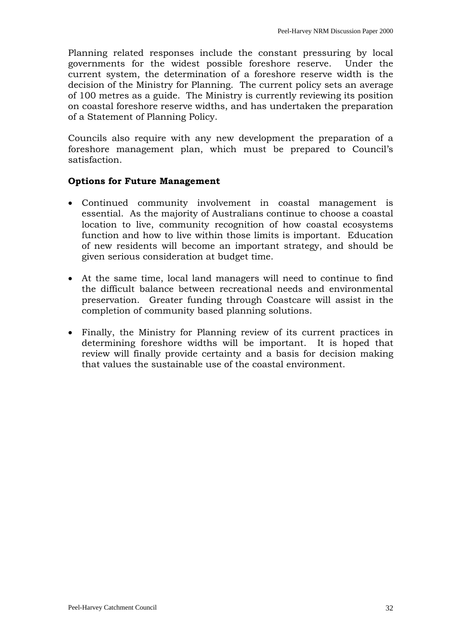Planning related responses include the constant pressuring by local governments for the widest possible foreshore reserve. Under the current system, the determination of a foreshore reserve width is the decision of the Ministry for Planning. The current policy sets an average of 100 metres as a guide. The Ministry is currently reviewing its position on coastal foreshore reserve widths, and has undertaken the preparation of a Statement of Planning Policy.

Councils also require with any new development the preparation of a foreshore management plan, which must be prepared to Council's satisfaction.

# **Options for Future Management**

- Continued community involvement in coastal management is essential. As the majority of Australians continue to choose a coastal location to live, community recognition of how coastal ecosystems function and how to live within those limits is important. Education of new residents will become an important strategy, and should be given serious consideration at budget time.
- At the same time, local land managers will need to continue to find the difficult balance between recreational needs and environmental preservation. Greater funding through Coastcare will assist in the completion of community based planning solutions.
- Finally, the Ministry for Planning review of its current practices in determining foreshore widths will be important. It is hoped that review will finally provide certainty and a basis for decision making that values the sustainable use of the coastal environment.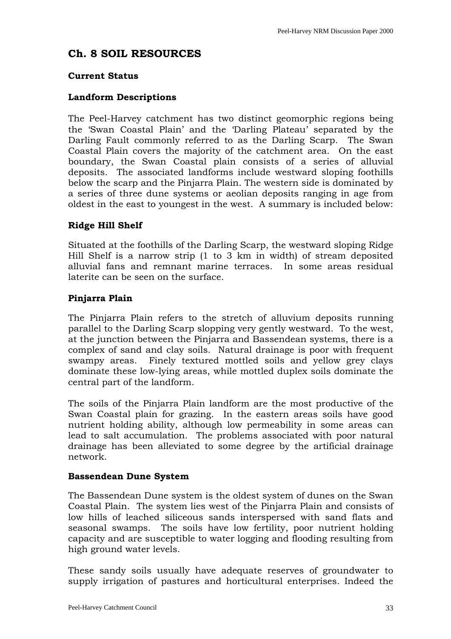# <span id="page-32-0"></span>**Ch. 8 SOIL RESOURCES**

# **Current Status**

# **Landform Descriptions**

The Peel-Harvey catchment has two distinct geomorphic regions being the 'Swan Coastal Plain' and the 'Darling Plateau' separated by the Darling Fault commonly referred to as the Darling Scarp. The Swan Coastal Plain covers the majority of the catchment area. On the east boundary, the Swan Coastal plain consists of a series of alluvial deposits. The associated landforms include westward sloping foothills below the scarp and the Pinjarra Plain. The western side is dominated by a series of three dune systems or aeolian deposits ranging in age from oldest in the east to youngest in the west. A summary is included below:

# **Ridge Hill Shelf**

Situated at the foothills of the Darling Scarp, the westward sloping Ridge Hill Shelf is a narrow strip (1 to 3 km in width) of stream deposited alluvial fans and remnant marine terraces. In some areas residual laterite can be seen on the surface.

# **Pinjarra Plain**

The Pinjarra Plain refers to the stretch of alluvium deposits running parallel to the Darling Scarp slopping very gently westward. To the west, at the junction between the Pinjarra and Bassendean systems, there is a complex of sand and clay soils. Natural drainage is poor with frequent swampy areas. Finely textured mottled soils and yellow grey clays dominate these low-lying areas, while mottled duplex soils dominate the central part of the landform.

The soils of the Pinjarra Plain landform are the most productive of the Swan Coastal plain for grazing. In the eastern areas soils have good nutrient holding ability, although low permeability in some areas can lead to salt accumulation. The problems associated with poor natural drainage has been alleviated to some degree by the artificial drainage network.

# **Bassendean Dune System**

The Bassendean Dune system is the oldest system of dunes on the Swan Coastal Plain. The system lies west of the Pinjarra Plain and consists of low hills of leached siliceous sands interspersed with sand flats and seasonal swamps. The soils have low fertility, poor nutrient holding capacity and are susceptible to water logging and flooding resulting from high ground water levels.

These sandy soils usually have adequate reserves of groundwater to supply irrigation of pastures and horticultural enterprises. Indeed the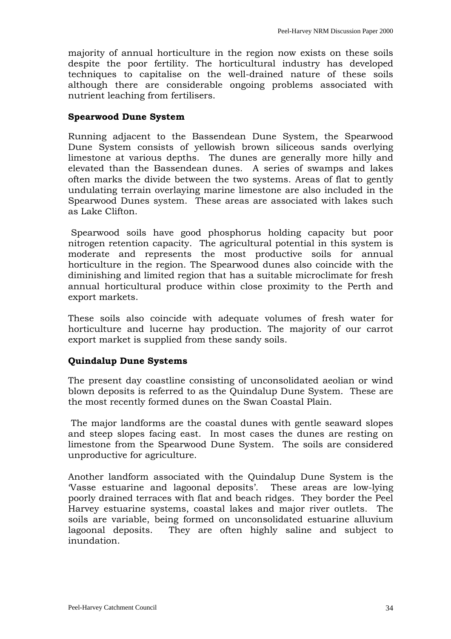majority of annual horticulture in the region now exists on these soils despite the poor fertility. The horticultural industry has developed techniques to capitalise on the well-drained nature of these soils although there are considerable ongoing problems associated with nutrient leaching from fertilisers.

#### **Spearwood Dune System**

Running adjacent to the Bassendean Dune System, the Spearwood Dune System consists of yellowish brown siliceous sands overlying limestone at various depths. The dunes are generally more hilly and elevated than the Bassendean dunes. A series of swamps and lakes often marks the divide between the two systems. Areas of flat to gently undulating terrain overlaying marine limestone are also included in the Spearwood Dunes system. These areas are associated with lakes such as Lake Clifton.

 Spearwood soils have good phosphorus holding capacity but poor nitrogen retention capacity. The agricultural potential in this system is moderate and represents the most productive soils for annual horticulture in the region. The Spearwood dunes also coincide with the diminishing and limited region that has a suitable microclimate for fresh annual horticultural produce within close proximity to the Perth and export markets.

These soils also coincide with adequate volumes of fresh water for horticulture and lucerne hay production. The majority of our carrot export market is supplied from these sandy soils.

# **Quindalup Dune Systems**

The present day coastline consisting of unconsolidated aeolian or wind blown deposits is referred to as the Quindalup Dune System. These are the most recently formed dunes on the Swan Coastal Plain.

 The major landforms are the coastal dunes with gentle seaward slopes and steep slopes facing east. In most cases the dunes are resting on limestone from the Spearwood Dune System. The soils are considered unproductive for agriculture.

Another landform associated with the Quindalup Dune System is the 'Vasse estuarine and lagoonal deposits'. These areas are low-lying poorly drained terraces with flat and beach ridges. They border the Peel Harvey estuarine systems, coastal lakes and major river outlets. The soils are variable, being formed on unconsolidated estuarine alluvium lagoonal deposits. They are often highly saline and subject to inundation.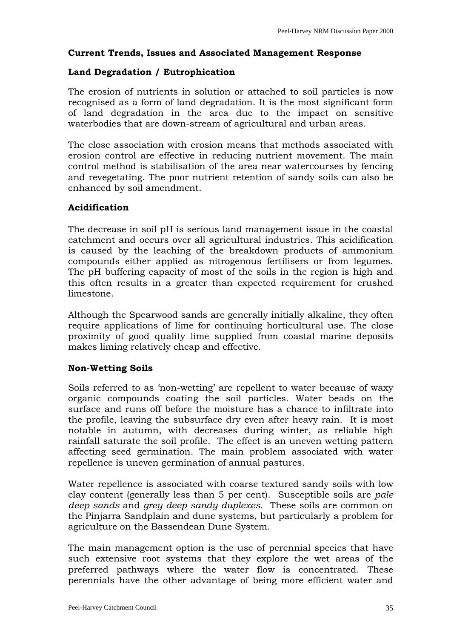# **Current Trends, Issues and Associated Management Response**

# **Land Degradation / Eutrophication**

The erosion of nutrients in solution or attached to soil particles is now recognised as a form of land degradation. It is the most significant form of land degradation in the area due to the impact on sensitive waterbodies that are down-stream of agricultural and urban areas.

The close association with erosion means that methods associated with erosion control are effective in reducing nutrient movement. The main control method is stabilisation of the area near watercourses by fencing and revegetating. The poor nutrient retention of sandy soils can also be enhanced by soil amendment.

# **Acidification**

The decrease in soil pH is serious land management issue in the coastal catchment and occurs over all agricultural industries. This acidification is caused by the leaching of the breakdown products of ammonium compounds either applied as nitrogenous fertilisers or from legumes. The pH buffering capacity of most of the soils in the region is high and this often results in a greater than expected requirement for crushed limestone.

Although the Spearwood sands are generally initially alkaline, they often require applications of lime for continuing horticultural use. The close proximity of good quality lime supplied from coastal marine deposits makes liming relatively cheap and effective.

# **Non-Wetting Soils**

Soils referred to as 'non-wetting' are repellent to water because of waxy organic compounds coating the soil particles. Water beads on the surface and runs off before the moisture has a chance to infiltrate into the profile, leaving the subsurface dry even after heavy rain. It is most notable in autumn, with decreases during winter, as reliable high rainfall saturate the soil profile. The effect is an uneven wetting pattern affecting seed germination. The main problem associated with water repellence is uneven germination of annual pastures.

Water repellence is associated with coarse textured sandy soils with low clay content (generally less than 5 per cent). Susceptible soils are *pale deep sands* and *grey deep sandy duplexes*. These soils are common on the Pinjarra Sandplain and dune systems, but particularly a problem for agriculture on the Bassendean Dune System.

The main management option is the use of perennial species that have such extensive root systems that they explore the wet areas of the preferred pathways where the water flow is concentrated. These perennials have the other advantage of being more efficient water and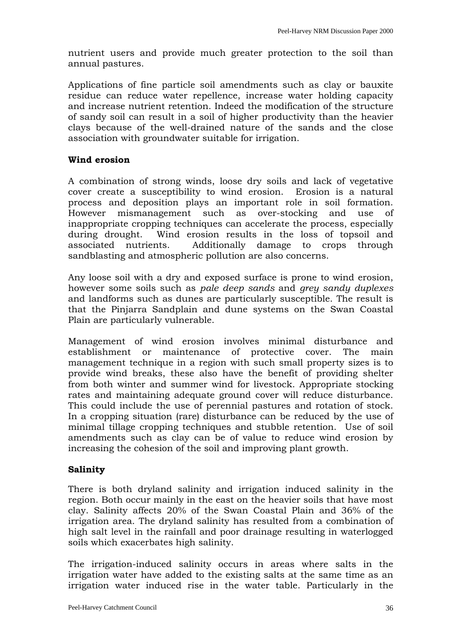nutrient users and provide much greater protection to the soil than annual pastures.

Applications of fine particle soil amendments such as clay or bauxite residue can reduce water repellence, increase water holding capacity and increase nutrient retention. Indeed the modification of the structure of sandy soil can result in a soil of higher productivity than the heavier clays because of the well-drained nature of the sands and the close association with groundwater suitable for irrigation.

### **Wind erosion**

A combination of strong winds, loose dry soils and lack of vegetative cover create a susceptibility to wind erosion. Erosion is a natural process and deposition plays an important role in soil formation. However mismanagement such as over-stocking and use of inappropriate cropping techniques can accelerate the process, especially during drought. Wind erosion results in the loss of topsoil and associated nutrients. Additionally damage to crops through sandblasting and atmospheric pollution are also concerns.

Any loose soil with a dry and exposed surface is prone to wind erosion, however some soils such as *pale deep sands* and *grey sandy duplexes* and landforms such as dunes are particularly susceptible. The result is that the Pinjarra Sandplain and dune systems on the Swan Coastal Plain are particularly vulnerable.

Management of wind erosion involves minimal disturbance and establishment or maintenance of protective cover. The main management technique in a region with such small property sizes is to provide wind breaks, these also have the benefit of providing shelter from both winter and summer wind for livestock. Appropriate stocking rates and maintaining adequate ground cover will reduce disturbance. This could include the use of perennial pastures and rotation of stock. In a cropping situation (rare) disturbance can be reduced by the use of minimal tillage cropping techniques and stubble retention. Use of soil amendments such as clay can be of value to reduce wind erosion by increasing the cohesion of the soil and improving plant growth.

# **Salinity**

There is both dryland salinity and irrigation induced salinity in the region. Both occur mainly in the east on the heavier soils that have most clay. Salinity affects 20% of the Swan Coastal Plain and 36% of the irrigation area. The dryland salinity has resulted from a combination of high salt level in the rainfall and poor drainage resulting in waterlogged soils which exacerbates high salinity.

The irrigation-induced salinity occurs in areas where salts in the irrigation water have added to the existing salts at the same time as an irrigation water induced rise in the water table. Particularly in the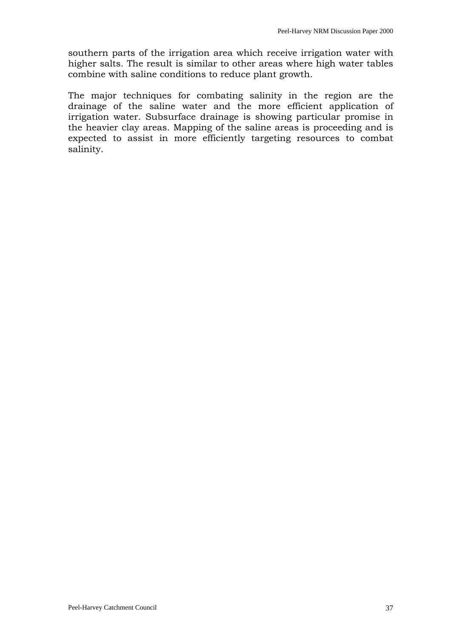southern parts of the irrigation area which receive irrigation water with higher salts. The result is similar to other areas where high water tables combine with saline conditions to reduce plant growth.

The major techniques for combating salinity in the region are the drainage of the saline water and the more efficient application of irrigation water. Subsurface drainage is showing particular promise in the heavier clay areas. Mapping of the saline areas is proceeding and is expected to assist in more efficiently targeting resources to combat salinity.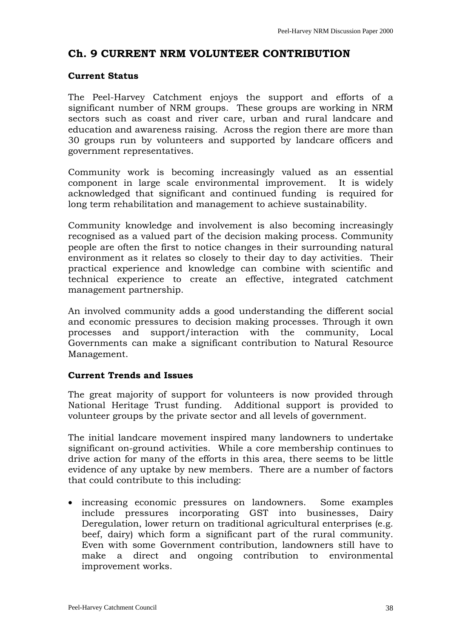# <span id="page-37-0"></span>**Ch. 9 CURRENT NRM VOLUNTEER CONTRIBUTION**

### **Current Status**

The Peel-Harvey Catchment enjoys the support and efforts of a significant number of NRM groups. These groups are working in NRM sectors such as coast and river care, urban and rural landcare and education and awareness raising. Across the region there are more than 30 groups run by volunteers and supported by landcare officers and government representatives.

Community work is becoming increasingly valued as an essential component in large scale environmental improvement. It is widely acknowledged that significant and continued funding is required for long term rehabilitation and management to achieve sustainability.

Community knowledge and involvement is also becoming increasingly recognised as a valued part of the decision making process. Community people are often the first to notice changes in their surrounding natural environment as it relates so closely to their day to day activities. Their practical experience and knowledge can combine with scientific and technical experience to create an effective, integrated catchment management partnership.

An involved community adds a good understanding the different social and economic pressures to decision making processes. Through it own processes and support/interaction with the community, Local Governments can make a significant contribution to Natural Resource Management.

# **Current Trends and Issues**

The great majority of support for volunteers is now provided through National Heritage Trust funding. Additional support is provided to volunteer groups by the private sector and all levels of government.

The initial landcare movement inspired many landowners to undertake significant on-ground activities. While a core membership continues to drive action for many of the efforts in this area, there seems to be little evidence of any uptake by new members. There are a number of factors that could contribute to this including:

• increasing economic pressures on landowners. Some examples include pressures incorporating GST into businesses, Dairy Deregulation, lower return on traditional agricultural enterprises (e.g. beef, dairy) which form a significant part of the rural community. Even with some Government contribution, landowners still have to make a direct and ongoing contribution to environmental improvement works.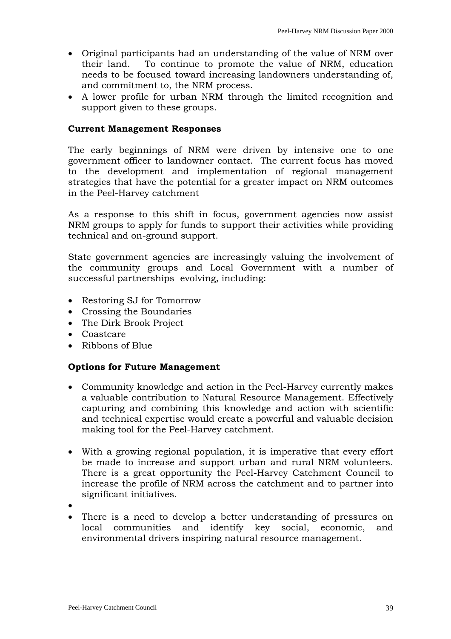- Original participants had an understanding of the value of NRM over their land. To continue to promote the value of NRM, education needs to be focused toward increasing landowners understanding of, and commitment to, the NRM process.
- A lower profile for urban NRM through the limited recognition and support given to these groups.

#### **Current Management Responses**

The early beginnings of NRM were driven by intensive one to one government officer to landowner contact. The current focus has moved to the development and implementation of regional management strategies that have the potential for a greater impact on NRM outcomes in the Peel-Harvey catchment

As a response to this shift in focus, government agencies now assist NRM groups to apply for funds to support their activities while providing technical and on-ground support.

State government agencies are increasingly valuing the involvement of the community groups and Local Government with a number of successful partnerships evolving, including:

- Restoring SJ for Tomorrow
- Crossing the Boundaries
- The Dirk Brook Project
- Coastcare
- Ribbons of Blue

#### **Options for Future Management**

- Community knowledge and action in the Peel-Harvey currently makes a valuable contribution to Natural Resource Management. Effectively capturing and combining this knowledge and action with scientific and technical expertise would create a powerful and valuable decision making tool for the Peel-Harvey catchment.
- With a growing regional population, it is imperative that every effort be made to increase and support urban and rural NRM volunteers. There is a great opportunity the Peel-Harvey Catchment Council to increase the profile of NRM across the catchment and to partner into significant initiatives.
- •
- There is a need to develop a better understanding of pressures on local communities and identify key social, economic, and environmental drivers inspiring natural resource management.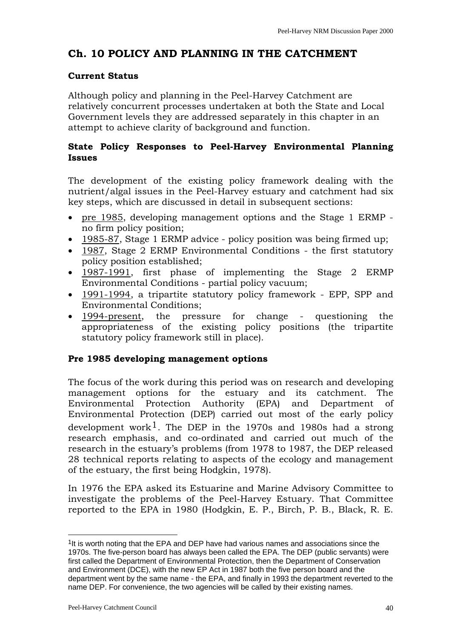# <span id="page-39-0"></span>**Ch. 10 POLICY AND PLANNING IN THE CATCHMENT**

# **Current Status**

Although policy and planning in the Peel-Harvey Catchment are relatively concurrent processes undertaken at both the State and Local Government levels they are addressed separately in this chapter in an attempt to achieve clarity of background and function.

# **State Policy Responses to Peel-Harvey Environmental Planning Issues**

The development of the existing policy framework dealing with the nutrient/algal issues in the Peel-Harvey estuary and catchment had six key steps, which are discussed in detail in subsequent sections:

- pre 1985, developing management options and the Stage 1 ERMP no firm policy position;
- 1985-87, Stage 1 ERMP advice policy position was being firmed up;
- 1987, Stage 2 ERMP Environmental Conditions the first statutory policy position established;
- 1987-1991, first phase of implementing the Stage 2 ERMP Environmental Conditions - partial policy vacuum;
- 1991-1994, a tripartite statutory policy framework EPP, SPP and Environmental Conditions;
- 1994-present, the pressure for change questioning the appropriateness of the existing policy positions (the tripartite statutory policy framework still in place).

# **Pre 1985 developing management options**

The focus of the work during this period was on research and developing management options for the estuary and its catchment. The Environmental Protection Authority (EPA) and Department of Environmental Protection (DEP) carried out most of the early policy development work<sup>[1](#page-39-1)</sup>. The DEP in the 1970s and 1980s had a strong research emphasis, and co-ordinated and carried out much of the research in the estuary's problems (from 1978 to 1987, the DEP released 28 technical reports relating to aspects of the ecology and management of the estuary, the first being Hodgkin, 1978).

In 1976 the EPA asked its Estuarine and Marine Advisory Committee to investigate the problems of the Peel-Harvey Estuary. That Committee reported to the EPA in 1980 (Hodgkin, E. P., Birch, P. B., Black, R. E.

l

<span id="page-39-1"></span><sup>&</sup>lt;sup>1</sup>It is worth noting that the EPA and DEP have had various names and associations since the 1970s. The five-person board has always been called the EPA. The DEP (public servants) were first called the Department of Environmental Protection, then the Department of Conservation and Environment (DCE), with the new EP Act in 1987 both the five person board and the department went by the same name - the EPA, and finally in 1993 the department reverted to the name DEP. For convenience, the two agencies will be called by their existing names.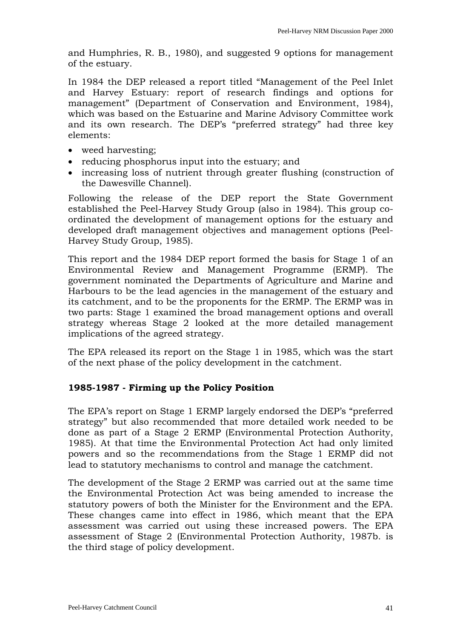and Humphries, R. B., 1980), and suggested 9 options for management of the estuary.

In 1984 the DEP released a report titled "Management of the Peel Inlet and Harvey Estuary: report of research findings and options for management" (Department of Conservation and Environment, 1984), which was based on the Estuarine and Marine Advisory Committee work and its own research. The DEP's "preferred strategy" had three key elements:

- weed harvesting;
- reducing phosphorus input into the estuary; and
- increasing loss of nutrient through greater flushing (construction of the Dawesville Channel).

Following the release of the DEP report the State Government established the Peel-Harvey Study Group (also in 1984). This group coordinated the development of management options for the estuary and developed draft management objectives and management options (Peel-Harvey Study Group, 1985).

This report and the 1984 DEP report formed the basis for Stage 1 of an Environmental Review and Management Programme (ERMP). The government nominated the Departments of Agriculture and Marine and Harbours to be the lead agencies in the management of the estuary and its catchment, and to be the proponents for the ERMP. The ERMP was in two parts: Stage 1 examined the broad management options and overall strategy whereas Stage 2 looked at the more detailed management implications of the agreed strategy.

The EPA released its report on the Stage 1 in 1985, which was the start of the next phase of the policy development in the catchment.

# **1985-1987 - Firming up the Policy Position**

The EPA's report on Stage 1 ERMP largely endorsed the DEP's "preferred strategy" but also recommended that more detailed work needed to be done as part of a Stage 2 ERMP (Environmental Protection Authority, 1985). At that time the Environmental Protection Act had only limited powers and so the recommendations from the Stage 1 ERMP did not lead to statutory mechanisms to control and manage the catchment.

The development of the Stage 2 ERMP was carried out at the same time the Environmental Protection Act was being amended to increase the statutory powers of both the Minister for the Environment and the EPA. These changes came into effect in 1986, which meant that the EPA assessment was carried out using these increased powers. The EPA assessment of Stage 2 (Environmental Protection Authority, 1987b. is the third stage of policy development.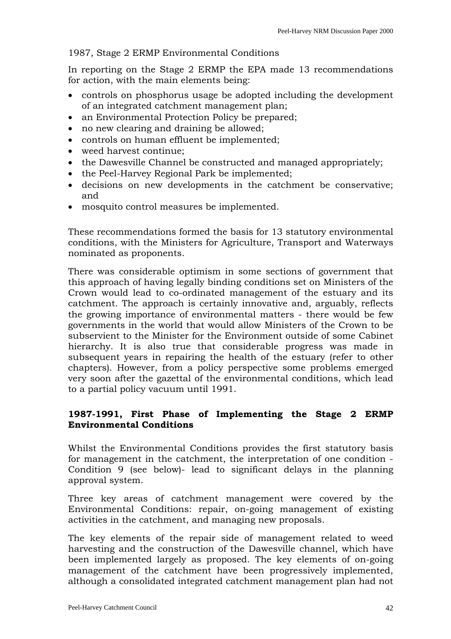### 1987, Stage 2 ERMP Environmental Conditions

In reporting on the Stage 2 ERMP the EPA made 13 recommendations for action, with the main elements being:

- controls on phosphorus usage be adopted including the development of an integrated catchment management plan;
- an Environmental Protection Policy be prepared;
- no new clearing and draining be allowed;
- controls on human effluent be implemented;
- weed harvest continue;
- the Dawesville Channel be constructed and managed appropriately;
- the Peel-Harvey Regional Park be implemented;
- decisions on new developments in the catchment be conservative; and
- mosquito control measures be implemented.

These recommendations formed the basis for 13 statutory environmental conditions, with the Ministers for Agriculture, Transport and Waterways nominated as proponents.

There was considerable optimism in some sections of government that this approach of having legally binding conditions set on Ministers of the Crown would lead to co-ordinated management of the estuary and its catchment. The approach is certainly innovative and, arguably, reflects the growing importance of environmental matters - there would be few governments in the world that would allow Ministers of the Crown to be subservient to the Minister for the Environment outside of some Cabinet hierarchy. It is also true that considerable progress was made in subsequent years in repairing the health of the estuary (refer to other chapters). However, from a policy perspective some problems emerged very soon after the gazettal of the environmental conditions, which lead to a partial policy vacuum until 1991.

# **1987-1991, First Phase of Implementing the Stage 2 ERMP Environmental Conditions**

Whilst the Environmental Conditions provides the first statutory basis for management in the catchment, the interpretation of one condition - Condition 9 (see below)- lead to significant delays in the planning approval system.

Three key areas of catchment management were covered by the Environmental Conditions: repair, on-going management of existing activities in the catchment, and managing new proposals.

The key elements of the repair side of management related to weed harvesting and the construction of the Dawesville channel, which have been implemented largely as proposed. The key elements of on-going management of the catchment have been progressively implemented, although a consolidated integrated catchment management plan had not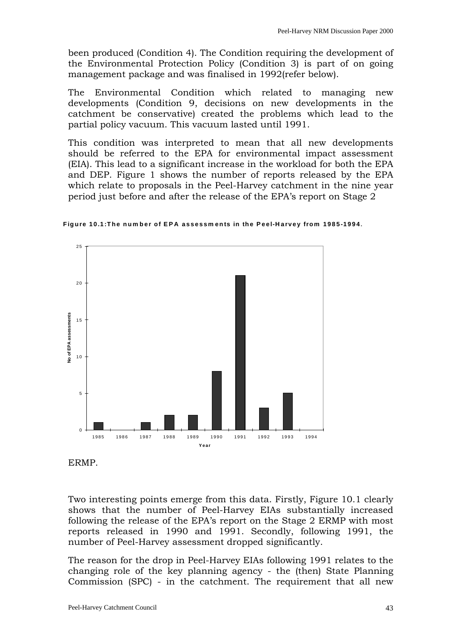been produced (Condition 4). The Condition requiring the development of the Environmental Protection Policy (Condition 3) is part of on going management package and was finalised in 1992(refer below).

The Environmental Condition which related to managing new developments (Condition 9, decisions on new developments in the catchment be conservative) created the problems which lead to the partial policy vacuum. This vacuum lasted until 1991.

This condition was interpreted to mean that all new developments should be referred to the EPA for environmental impact assessment (EIA). This lead to a significant increase in the workload for both the EPA and DEP. Figure 1 shows the number of reports released by the EPA which relate to proposals in the Peel-Harvey catchment in the nine year period just before and after the release of the EPA's report on Stage 2



**Figure 10.1:The num ber of EPA assessm ents in the Peel-Harvey from 1985-1994 .**

Two interesting points emerge from this data. Firstly, Figure 10.1 clearly shows that the number of Peel-Harvey EIAs substantially increased following the release of the EPA's report on the Stage 2 ERMP with most reports released in 1990 and 1991. Secondly, following 1991, the number of Peel-Harvey assessment dropped significantly.

The reason for the drop in Peel-Harvey EIAs following 1991 relates to the changing role of the key planning agency - the (then) State Planning Commission (SPC) - in the catchment. The requirement that all new

ERMP.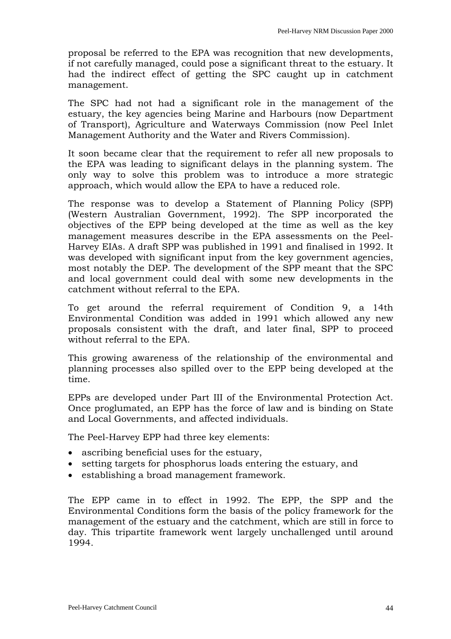proposal be referred to the EPA was recognition that new developments, if not carefully managed, could pose a significant threat to the estuary. It had the indirect effect of getting the SPC caught up in catchment management.

The SPC had not had a significant role in the management of the estuary, the key agencies being Marine and Harbours (now Department of Transport), Agriculture and Waterways Commission (now Peel Inlet Management Authority and the Water and Rivers Commission).

It soon became clear that the requirement to refer all new proposals to the EPA was leading to significant delays in the planning system. The only way to solve this problem was to introduce a more strategic approach, which would allow the EPA to have a reduced role.

The response was to develop a Statement of Planning Policy (SPP) (Western Australian Government, 1992). The SPP incorporated the objectives of the EPP being developed at the time as well as the key management measures describe in the EPA assessments on the Peel-Harvey EIAs. A draft SPP was published in 1991 and finalised in 1992. It was developed with significant input from the key government agencies, most notably the DEP. The development of the SPP meant that the SPC and local government could deal with some new developments in the catchment without referral to the EPA.

To get around the referral requirement of Condition 9, a 14th Environmental Condition was added in 1991 which allowed any new proposals consistent with the draft, and later final, SPP to proceed without referral to the EPA.

This growing awareness of the relationship of the environmental and planning processes also spilled over to the EPP being developed at the time.

EPPs are developed under Part III of the Environmental Protection Act. Once proglumated, an EPP has the force of law and is binding on State and Local Governments, and affected individuals.

The Peel-Harvey EPP had three key elements:

- ascribing beneficial uses for the estuary,
- setting targets for phosphorus loads entering the estuary, and
- establishing a broad management framework.

The EPP came in to effect in 1992. The EPP, the SPP and the Environmental Conditions form the basis of the policy framework for the management of the estuary and the catchment, which are still in force to day. This tripartite framework went largely unchallenged until around 1994.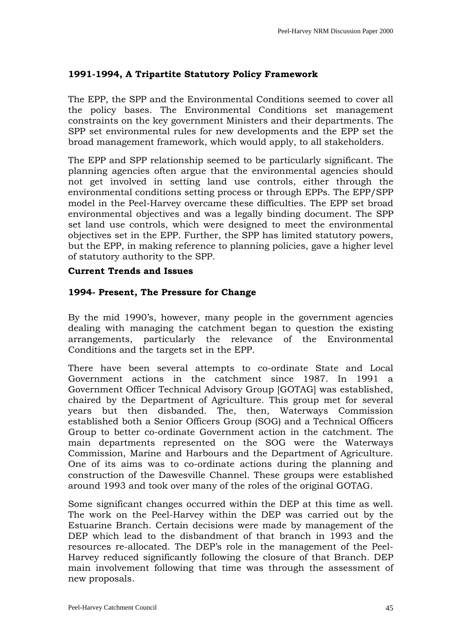# **1991-1994, A Tripartite Statutory Policy Framework**

The EPP, the SPP and the Environmental Conditions seemed to cover all the policy bases. The Environmental Conditions set management constraints on the key government Ministers and their departments. The SPP set environmental rules for new developments and the EPP set the broad management framework, which would apply, to all stakeholders.

The EPP and SPP relationship seemed to be particularly significant. The planning agencies often argue that the environmental agencies should not get involved in setting land use controls, either through the environmental conditions setting process or through EPPs. The EPP/SPP model in the Peel-Harvey overcame these difficulties. The EPP set broad environmental objectives and was a legally binding document. The SPP set land use controls, which were designed to meet the environmental objectives set in the EPP. Further, the SPP has limited statutory powers, but the EPP, in making reference to planning policies, gave a higher level of statutory authority to the SPP.

# **Current Trends and Issues**

# **1994- Present, The Pressure for Change**

By the mid 1990's, however, many people in the government agencies dealing with managing the catchment began to question the existing arrangements, particularly the relevance of the Environmental Conditions and the targets set in the EPP.

There have been several attempts to co-ordinate State and Local Government actions in the catchment since 1987. In 1991 a Government Officer Technical Advisory Group [GOTAG] was established, chaired by the Department of Agriculture. This group met for several years but then disbanded. The, then, Waterways Commission established both a Senior Officers Group (SOG) and a Technical Officers Group to better co-ordinate Government action in the catchment. The main departments represented on the SOG were the Waterways Commission, Marine and Harbours and the Department of Agriculture. One of its aims was to co-ordinate actions during the planning and construction of the Dawesville Channel. These groups were established around 1993 and took over many of the roles of the original GOTAG.

Some significant changes occurred within the DEP at this time as well. The work on the Peel-Harvey within the DEP was carried out by the Estuarine Branch. Certain decisions were made by management of the DEP which lead to the disbandment of that branch in 1993 and the resources re-allocated. The DEP's role in the management of the Peel-Harvey reduced significantly following the closure of that Branch. DEP main involvement following that time was through the assessment of new proposals.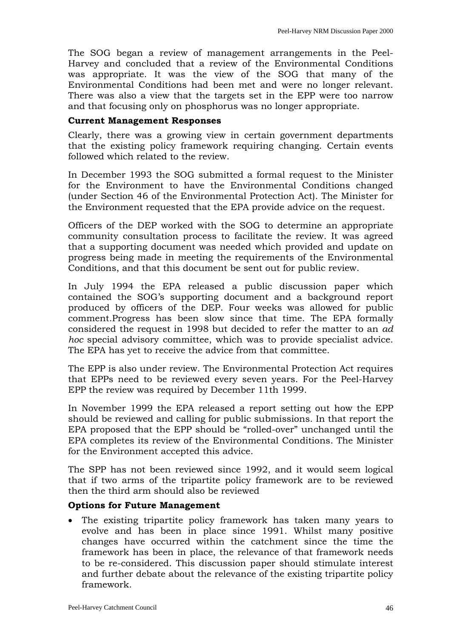The SOG began a review of management arrangements in the Peel-Harvey and concluded that a review of the Environmental Conditions was appropriate. It was the view of the SOG that many of the Environmental Conditions had been met and were no longer relevant. There was also a view that the targets set in the EPP were too narrow and that focusing only on phosphorus was no longer appropriate.

#### **Current Management Responses**

Clearly, there was a growing view in certain government departments that the existing policy framework requiring changing. Certain events followed which related to the review.

In December 1993 the SOG submitted a formal request to the Minister for the Environment to have the Environmental Conditions changed (under Section 46 of the Environmental Protection Act). The Minister for the Environment requested that the EPA provide advice on the request.

Officers of the DEP worked with the SOG to determine an appropriate community consultation process to facilitate the review. It was agreed that a supporting document was needed which provided and update on progress being made in meeting the requirements of the Environmental Conditions, and that this document be sent out for public review.

In July 1994 the EPA released a public discussion paper which contained the SOG's supporting document and a background report produced by officers of the DEP. Four weeks was allowed for public comment.Progress has been slow since that time. The EPA formally considered the request in 1998 but decided to refer the matter to an *ad hoc* special advisory committee, which was to provide specialist advice. The EPA has yet to receive the advice from that committee.

The EPP is also under review. The Environmental Protection Act requires that EPPs need to be reviewed every seven years. For the Peel-Harvey EPP the review was required by December 11th 1999.

In November 1999 the EPA released a report setting out how the EPP should be reviewed and calling for public submissions. In that report the EPA proposed that the EPP should be "rolled-over" unchanged until the EPA completes its review of the Environmental Conditions. The Minister for the Environment accepted this advice.

The SPP has not been reviewed since 1992, and it would seem logical that if two arms of the tripartite policy framework are to be reviewed then the third arm should also be reviewed

# **Options for Future Management**

• The existing tripartite policy framework has taken many years to evolve and has been in place since 1991. Whilst many positive changes have occurred within the catchment since the time the framework has been in place, the relevance of that framework needs to be re-considered. This discussion paper should stimulate interest and further debate about the relevance of the existing tripartite policy framework.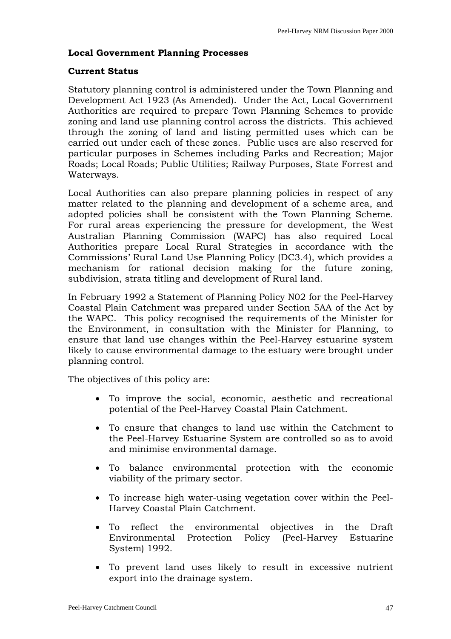# **Local Government Planning Processes**

#### **Current Status**

Statutory planning control is administered under the Town Planning and Development Act 1923 (As Amended). Under the Act, Local Government Authorities are required to prepare Town Planning Schemes to provide zoning and land use planning control across the districts. This achieved through the zoning of land and listing permitted uses which can be carried out under each of these zones. Public uses are also reserved for particular purposes in Schemes including Parks and Recreation; Major Roads; Local Roads; Public Utilities; Railway Purposes, State Forrest and Waterways.

Local Authorities can also prepare planning policies in respect of any matter related to the planning and development of a scheme area, and adopted policies shall be consistent with the Town Planning Scheme. For rural areas experiencing the pressure for development, the West Australian Planning Commission (WAPC) has also required Local Authorities prepare Local Rural Strategies in accordance with the Commissions' Rural Land Use Planning Policy (DC3.4), which provides a mechanism for rational decision making for the future zoning, subdivision, strata titling and development of Rural land.

In February 1992 a Statement of Planning Policy N02 for the Peel-Harvey Coastal Plain Catchment was prepared under Section 5AA of the Act by the WAPC. This policy recognised the requirements of the Minister for the Environment, in consultation with the Minister for Planning, to ensure that land use changes within the Peel-Harvey estuarine system likely to cause environmental damage to the estuary were brought under planning control.

The objectives of this policy are:

- To improve the social, economic, aesthetic and recreational potential of the Peel-Harvey Coastal Plain Catchment.
- To ensure that changes to land use within the Catchment to the Peel-Harvey Estuarine System are controlled so as to avoid and minimise environmental damage.
- To balance environmental protection with the economic viability of the primary sector.
- To increase high water-using vegetation cover within the Peel-Harvey Coastal Plain Catchment.
- To reflect the environmental objectives in the Draft Environmental Protection Policy (Peel-Harvey Estuarine System) 1992.
- To prevent land uses likely to result in excessive nutrient export into the drainage system.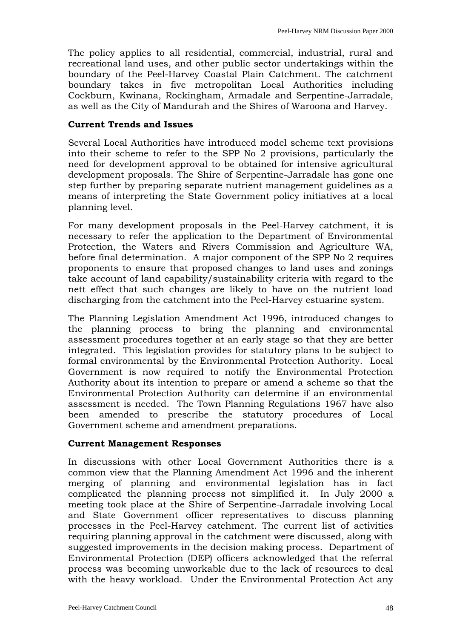The policy applies to all residential, commercial, industrial, rural and recreational land uses, and other public sector undertakings within the boundary of the Peel-Harvey Coastal Plain Catchment. The catchment boundary takes in five metropolitan Local Authorities including Cockburn, Kwinana, Rockingham, Armadale and Serpentine-Jarradale, as well as the City of Mandurah and the Shires of Waroona and Harvey.

#### **Current Trends and Issues**

Several Local Authorities have introduced model scheme text provisions into their scheme to refer to the SPP No 2 provisions, particularly the need for development approval to be obtained for intensive agricultural development proposals. The Shire of Serpentine-Jarradale has gone one step further by preparing separate nutrient management guidelines as a means of interpreting the State Government policy initiatives at a local planning level.

For many development proposals in the Peel-Harvey catchment, it is necessary to refer the application to the Department of Environmental Protection, the Waters and Rivers Commission and Agriculture WA, before final determination. A major component of the SPP No 2 requires proponents to ensure that proposed changes to land uses and zonings take account of land capability/sustainability criteria with regard to the nett effect that such changes are likely to have on the nutrient load discharging from the catchment into the Peel-Harvey estuarine system.

The Planning Legislation Amendment Act 1996, introduced changes to the planning process to bring the planning and environmental assessment procedures together at an early stage so that they are better integrated. This legislation provides for statutory plans to be subject to formal environmental by the Environmental Protection Authority. Local Government is now required to notify the Environmental Protection Authority about its intention to prepare or amend a scheme so that the Environmental Protection Authority can determine if an environmental assessment is needed. The Town Planning Regulations 1967 have also been amended to prescribe the statutory procedures of Local Government scheme and amendment preparations.

#### **Current Management Responses**

In discussions with other Local Government Authorities there is a common view that the Planning Amendment Act 1996 and the inherent merging of planning and environmental legislation has in fact complicated the planning process not simplified it. In July 2000 a meeting took place at the Shire of Serpentine-Jarradale involving Local and State Government officer representatives to discuss planning processes in the Peel-Harvey catchment. The current list of activities requiring planning approval in the catchment were discussed, along with suggested improvements in the decision making process. Department of Environmental Protection (DEP) officers acknowledged that the referral process was becoming unworkable due to the lack of resources to deal with the heavy workload. Under the Environmental Protection Act any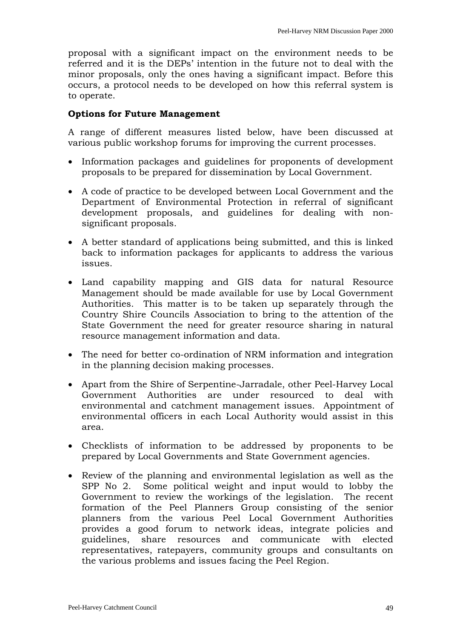proposal with a significant impact on the environment needs to be referred and it is the DEPs' intention in the future not to deal with the minor proposals, only the ones having a significant impact. Before this occurs, a protocol needs to be developed on how this referral system is to operate.

### **Options for Future Management**

A range of different measures listed below, have been discussed at various public workshop forums for improving the current processes.

- Information packages and guidelines for proponents of development proposals to be prepared for dissemination by Local Government.
- A code of practice to be developed between Local Government and the Department of Environmental Protection in referral of significant development proposals, and guidelines for dealing with nonsignificant proposals.
- A better standard of applications being submitted, and this is linked back to information packages for applicants to address the various issues.
- Land capability mapping and GIS data for natural Resource Management should be made available for use by Local Government Authorities. This matter is to be taken up separately through the Country Shire Councils Association to bring to the attention of the State Government the need for greater resource sharing in natural resource management information and data.
- The need for better co-ordination of NRM information and integration in the planning decision making processes.
- Apart from the Shire of Serpentine-Jarradale, other Peel-Harvey Local Government Authorities are under resourced to deal with environmental and catchment management issues. Appointment of environmental officers in each Local Authority would assist in this area.
- Checklists of information to be addressed by proponents to be prepared by Local Governments and State Government agencies.
- Review of the planning and environmental legislation as well as the SPP No 2. Some political weight and input would to lobby the Government to review the workings of the legislation. The recent formation of the Peel Planners Group consisting of the senior planners from the various Peel Local Government Authorities provides a good forum to network ideas, integrate policies and guidelines, share resources and communicate with elected representatives, ratepayers, community groups and consultants on the various problems and issues facing the Peel Region.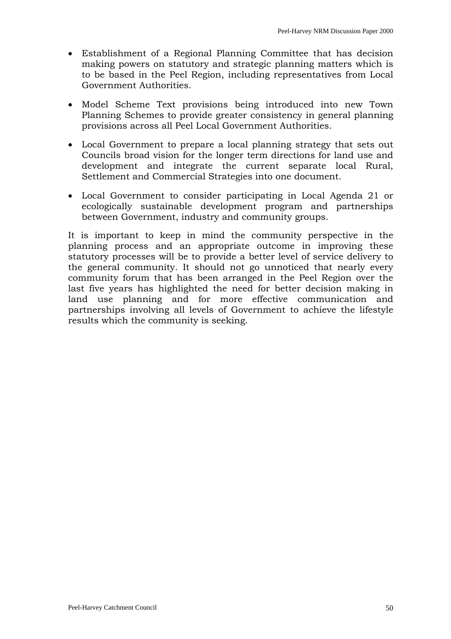- Establishment of a Regional Planning Committee that has decision making powers on statutory and strategic planning matters which is to be based in the Peel Region, including representatives from Local Government Authorities.
- Model Scheme Text provisions being introduced into new Town Planning Schemes to provide greater consistency in general planning provisions across all Peel Local Government Authorities.
- Local Government to prepare a local planning strategy that sets out Councils broad vision for the longer term directions for land use and development and integrate the current separate local Rural, Settlement and Commercial Strategies into one document.
- Local Government to consider participating in Local Agenda 21 or ecologically sustainable development program and partnerships between Government, industry and community groups.

It is important to keep in mind the community perspective in the planning process and an appropriate outcome in improving these statutory processes will be to provide a better level of service delivery to the general community. It should not go unnoticed that nearly every community forum that has been arranged in the Peel Region over the last five years has highlighted the need for better decision making in land use planning and for more effective communication and partnerships involving all levels of Government to achieve the lifestyle results which the community is seeking.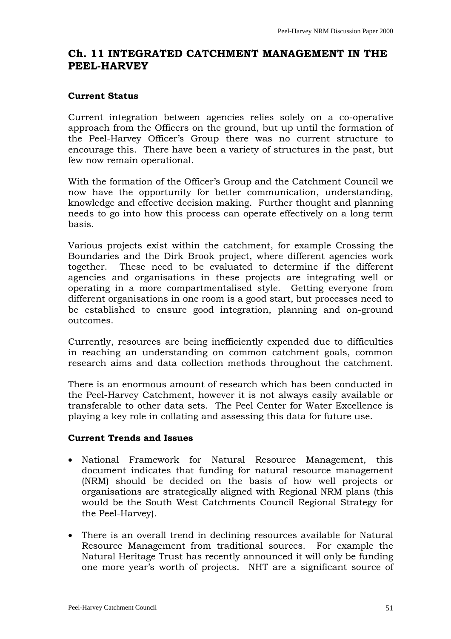# <span id="page-50-0"></span>**Ch. 11 INTEGRATED CATCHMENT MANAGEMENT IN THE PEEL-HARVEY**

#### **Current Status**

Current integration between agencies relies solely on a co-operative approach from the Officers on the ground, but up until the formation of the Peel-Harvey Officer's Group there was no current structure to encourage this. There have been a variety of structures in the past, but few now remain operational.

With the formation of the Officer's Group and the Catchment Council we now have the opportunity for better communication, understanding, knowledge and effective decision making. Further thought and planning needs to go into how this process can operate effectively on a long term basis.

Various projects exist within the catchment, for example Crossing the Boundaries and the Dirk Brook project, where different agencies work together. These need to be evaluated to determine if the different agencies and organisations in these projects are integrating well or operating in a more compartmentalised style. Getting everyone from different organisations in one room is a good start, but processes need to be established to ensure good integration, planning and on-ground outcomes.

Currently, resources are being inefficiently expended due to difficulties in reaching an understanding on common catchment goals, common research aims and data collection methods throughout the catchment.

There is an enormous amount of research which has been conducted in the Peel-Harvey Catchment, however it is not always easily available or transferable to other data sets. The Peel Center for Water Excellence is playing a key role in collating and assessing this data for future use.

# **Current Trends and Issues**

- National Framework for Natural Resource Management, this document indicates that funding for natural resource management (NRM) should be decided on the basis of how well projects or organisations are strategically aligned with Regional NRM plans (this would be the South West Catchments Council Regional Strategy for the Peel-Harvey).
- There is an overall trend in declining resources available for Natural Resource Management from traditional sources. For example the Natural Heritage Trust has recently announced it will only be funding one more year's worth of projects. NHT are a significant source of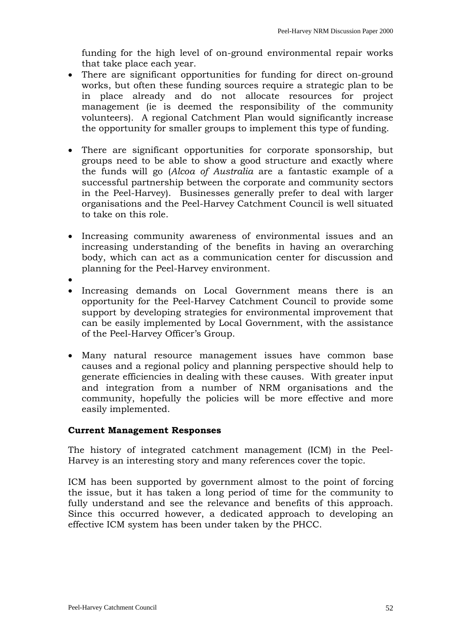funding for the high level of on-ground environmental repair works that take place each year.

- There are significant opportunities for funding for direct on-ground works, but often these funding sources require a strategic plan to be in place already and do not allocate resources for project management (ie is deemed the responsibility of the community volunteers). A regional Catchment Plan would significantly increase the opportunity for smaller groups to implement this type of funding.
- There are significant opportunities for corporate sponsorship, but groups need to be able to show a good structure and exactly where the funds will go (*Alcoa of Australia* are a fantastic example of a successful partnership between the corporate and community sectors in the Peel-Harvey). Businesses generally prefer to deal with larger organisations and the Peel-Harvey Catchment Council is well situated to take on this role.
- Increasing community awareness of environmental issues and an increasing understanding of the benefits in having an overarching body, which can act as a communication center for discussion and planning for the Peel-Harvey environment.
- •
- Increasing demands on Local Government means there is an opportunity for the Peel-Harvey Catchment Council to provide some support by developing strategies for environmental improvement that can be easily implemented by Local Government, with the assistance of the Peel-Harvey Officer's Group.
- Many natural resource management issues have common base causes and a regional policy and planning perspective should help to generate efficiencies in dealing with these causes. With greater input and integration from a number of NRM organisations and the community, hopefully the policies will be more effective and more easily implemented.

# **Current Management Responses**

The history of integrated catchment management (ICM) in the Peel-Harvey is an interesting story and many references cover the topic.

ICM has been supported by government almost to the point of forcing the issue, but it has taken a long period of time for the community to fully understand and see the relevance and benefits of this approach. Since this occurred however, a dedicated approach to developing an effective ICM system has been under taken by the PHCC.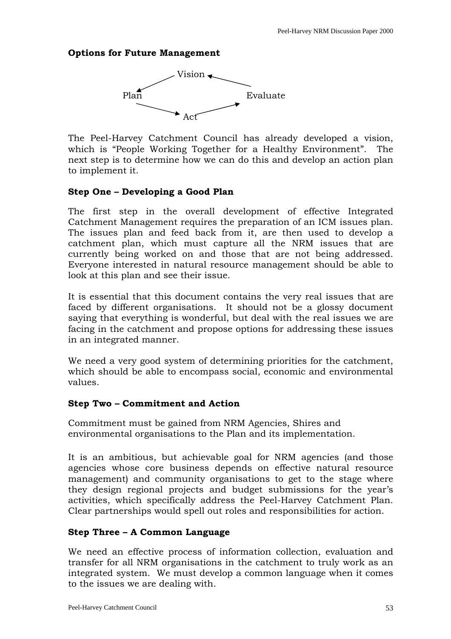### **Options for Future Management**



The Peel-Harvey Catchment Council has already developed a vision, which is "People Working Together for a Healthy Environment". The next step is to determine how we can do this and develop an action plan to implement it.

#### **Step One – Developing a Good Plan**

The first step in the overall development of effective Integrated Catchment Management requires the preparation of an ICM issues plan. The issues plan and feed back from it, are then used to develop a catchment plan, which must capture all the NRM issues that are currently being worked on and those that are not being addressed. Everyone interested in natural resource management should be able to look at this plan and see their issue.

It is essential that this document contains the very real issues that are faced by different organisations. It should not be a glossy document saying that everything is wonderful, but deal with the real issues we are facing in the catchment and propose options for addressing these issues in an integrated manner.

We need a very good system of determining priorities for the catchment, which should be able to encompass social, economic and environmental values.

#### **Step Two – Commitment and Action**

Commitment must be gained from NRM Agencies, Shires and environmental organisations to the Plan and its implementation.

It is an ambitious, but achievable goal for NRM agencies (and those agencies whose core business depends on effective natural resource management) and community organisations to get to the stage where they design regional projects and budget submissions for the year's activities, which specifically address the Peel-Harvey Catchment Plan. Clear partnerships would spell out roles and responsibilities for action.

# **Step Three – A Common Language**

We need an effective process of information collection, evaluation and transfer for all NRM organisations in the catchment to truly work as an integrated system. We must develop a common language when it comes to the issues we are dealing with.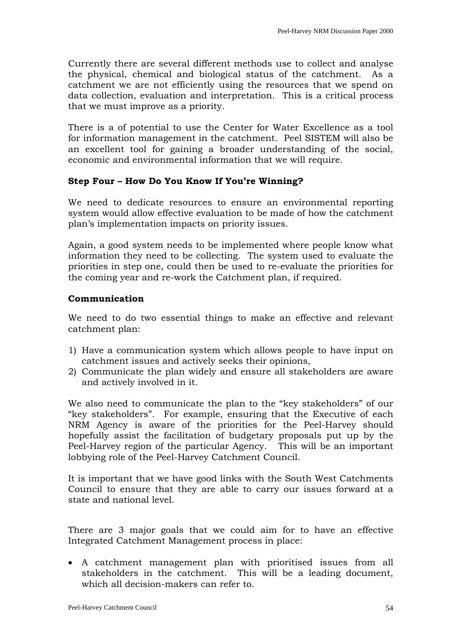Currently there are several different methods use to collect and analyse the physical, chemical and biological status of the catchment. As a catchment we are not efficiently using the resources that we spend on data collection, evaluation and interpretation. This is a critical process that we must improve as a priority.

There is a of potential to use the Center for Water Excellence as a tool for information management in the catchment. Peel SISTEM will also be an excellent tool for gaining a broader understanding of the social, economic and environmental information that we will require.

# **Step Four – How Do You Know If You're Winning?**

We need to dedicate resources to ensure an environmental reporting system would allow effective evaluation to be made of how the catchment plan's implementation impacts on priority issues.

Again, a good system needs to be implemented where people know what information they need to be collecting. The system used to evaluate the priorities in step one, could then be used to re-evaluate the priorities for the coming year and re-work the Catchment plan, if required.

#### **Communication**

We need to do two essential things to make an effective and relevant catchment plan:

- 1) Have a communication system which allows people to have input on catchment issues and actively seeks their opinions,
- 2) Communicate the plan widely and ensure all stakeholders are aware and actively involved in it.

We also need to communicate the plan to the "key stakeholders" of our "key stakeholders". For example, ensuring that the Executive of each NRM Agency is aware of the priorities for the Peel-Harvey should hopefully assist the facilitation of budgetary proposals put up by the Peel-Harvey region of the particular Agency. This will be an important lobbying role of the Peel-Harvey Catchment Council.

It is important that we have good links with the South West Catchments Council to ensure that they are able to carry our issues forward at a state and national level.

There are 3 major goals that we could aim for to have an effective Integrated Catchment Management process in place:

• A catchment management plan with prioritised issues from all stakeholders in the catchment. This will be a leading document, which all decision-makers can refer to.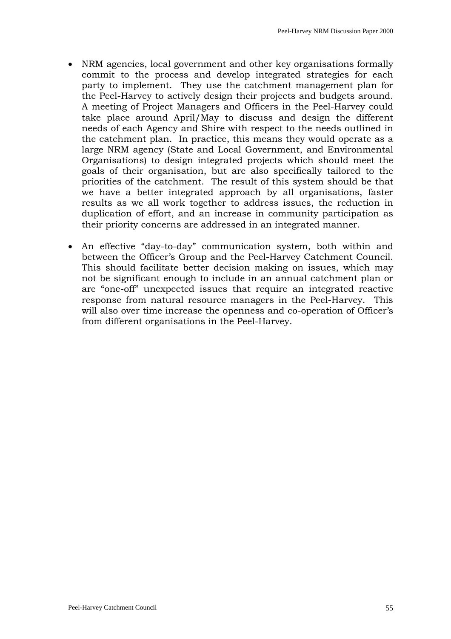- NRM agencies, local government and other key organisations formally commit to the process and develop integrated strategies for each party to implement. They use the catchment management plan for the Peel-Harvey to actively design their projects and budgets around. A meeting of Project Managers and Officers in the Peel-Harvey could take place around April/May to discuss and design the different needs of each Agency and Shire with respect to the needs outlined in the catchment plan. In practice, this means they would operate as a large NRM agency (State and Local Government, and Environmental Organisations) to design integrated projects which should meet the goals of their organisation, but are also specifically tailored to the priorities of the catchment. The result of this system should be that we have a better integrated approach by all organisations, faster results as we all work together to address issues, the reduction in duplication of effort, and an increase in community participation as their priority concerns are addressed in an integrated manner.
- An effective "day-to-day" communication system, both within and between the Officer's Group and the Peel-Harvey Catchment Council. This should facilitate better decision making on issues, which may not be significant enough to include in an annual catchment plan or are "one-off" unexpected issues that require an integrated reactive response from natural resource managers in the Peel-Harvey. This will also over time increase the openness and co-operation of Officer's from different organisations in the Peel-Harvey.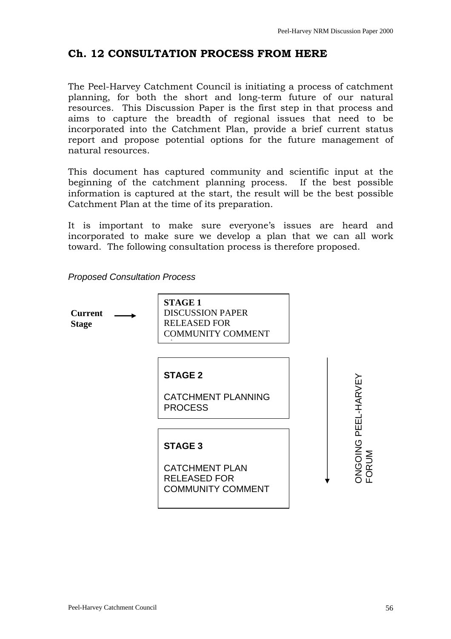# <span id="page-55-0"></span>**Ch. 12 CONSULTATION PROCESS FROM HERE**

The Peel-Harvey Catchment Council is initiating a process of catchment planning, for both the short and long-term future of our natural resources. This Discussion Paper is the first step in that process and aims to capture the breadth of regional issues that need to be incorporated into the Catchment Plan, provide a brief current status report and propose potential options for the future management of natural resources.

This document has captured community and scientific input at the beginning of the catchment planning process. If the best possible information is captured at the start, the result will be the best possible Catchment Plan at the time of its preparation.

It is important to make sure everyone's issues are heard and incorporated to make sure we develop a plan that we can all work toward. The following consultation process is therefore proposed.

*Proposed Consultation Process* 

**Current Stage** 

**STAGE 1**  DISCUSSION PAPER RELEASED FOR COMMUNITY COMMENT t

#### **STAGE 2**

CATCHMENT PLANNING PROCESS

#### **STAGE 3**

CATCHMENT PLAN RELEASED FOR COMMUNITY COMMENT

ONGOING PEEL-HARVEY **ONGOING PEEL-HARVEY** FORUM **ORUM**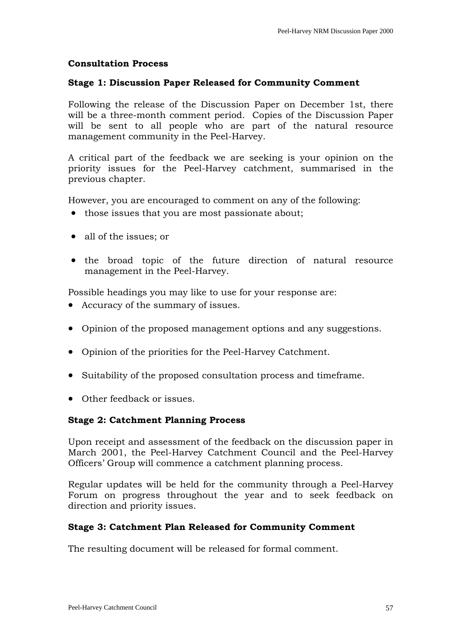#### **Consultation Process**

#### **Stage 1: Discussion Paper Released for Community Comment**

Following the release of the Discussion Paper on December 1st, there will be a three-month comment period. Copies of the Discussion Paper will be sent to all people who are part of the natural resource management community in the Peel-Harvey.

A critical part of the feedback we are seeking is your opinion on the priority issues for the Peel-Harvey catchment, summarised in the previous chapter.

However, you are encouraged to comment on any of the following:

- those issues that you are most passionate about:
- all of the issues: or
- the broad topic of the future direction of natural resource management in the Peel-Harvey.

Possible headings you may like to use for your response are:

- Accuracy of the summary of issues.
- Opinion of the proposed management options and any suggestions.
- Opinion of the priorities for the Peel-Harvey Catchment.
- Suitability of the proposed consultation process and timeframe.
- Other feedback or issues.

#### **Stage 2: Catchment Planning Process**

Upon receipt and assessment of the feedback on the discussion paper in March 2001, the Peel-Harvey Catchment Council and the Peel-Harvey Officers' Group will commence a catchment planning process.

Regular updates will be held for the community through a Peel-Harvey Forum on progress throughout the year and to seek feedback on direction and priority issues.

#### **Stage 3: Catchment Plan Released for Community Comment**

The resulting document will be released for formal comment.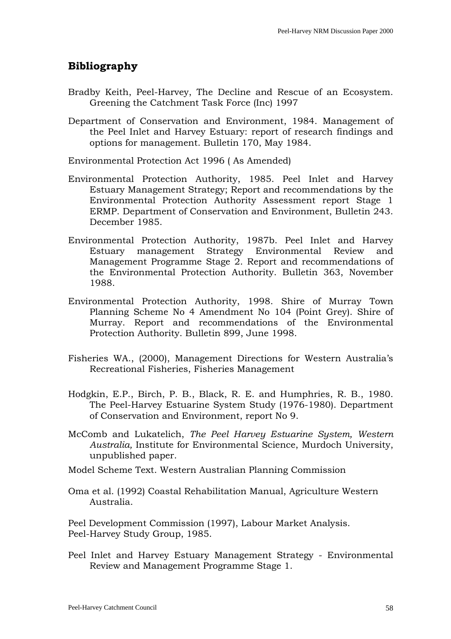# <span id="page-57-0"></span>**Bibliography**

- Bradby Keith, Peel-Harvey, The Decline and Rescue of an Ecosystem. Greening the Catchment Task Force (Inc) 1997
- Department of Conservation and Environment, 1984. Management of the Peel Inlet and Harvey Estuary: report of research findings and options for management. Bulletin 170, May 1984.

Environmental Protection Act 1996 ( As Amended)

- Environmental Protection Authority, 1985. Peel Inlet and Harvey Estuary Management Strategy; Report and recommendations by the Environmental Protection Authority Assessment report Stage 1 ERMP. Department of Conservation and Environment, Bulletin 243. December 1985.
- Environmental Protection Authority, 1987b. Peel Inlet and Harvey Estuary management Strategy Environmental Review and Management Programme Stage 2. Report and recommendations of the Environmental Protection Authority. Bulletin 363, November 1988.
- Environmental Protection Authority, 1998. Shire of Murray Town Planning Scheme No 4 Amendment No 104 (Point Grey). Shire of Murray. Report and recommendations of the Environmental Protection Authority. Bulletin 899, June 1998.
- Fisheries WA., (2000), Management Directions for Western Australia's Recreational Fisheries, Fisheries Management
- Hodgkin, E.P., Birch, P. B., Black, R. E. and Humphries, R. B., 1980. The Peel-Harvey Estuarine System Study (1976-1980). Department of Conservation and Environment, report No 9.
- McComb and Lukatelich, *The Peel Harvey Estuarine System, Western Australia,* Institute for Environmental Science, Murdoch University, unpublished paper.
- Model Scheme Text. Western Australian Planning Commission
- Oma et al. (1992) Coastal Rehabilitation Manual, Agriculture Western Australia.

Peel Development Commission (1997), Labour Market Analysis. Peel-Harvey Study Group, 1985.

Peel Inlet and Harvey Estuary Management Strategy - Environmental Review and Management Programme Stage 1.